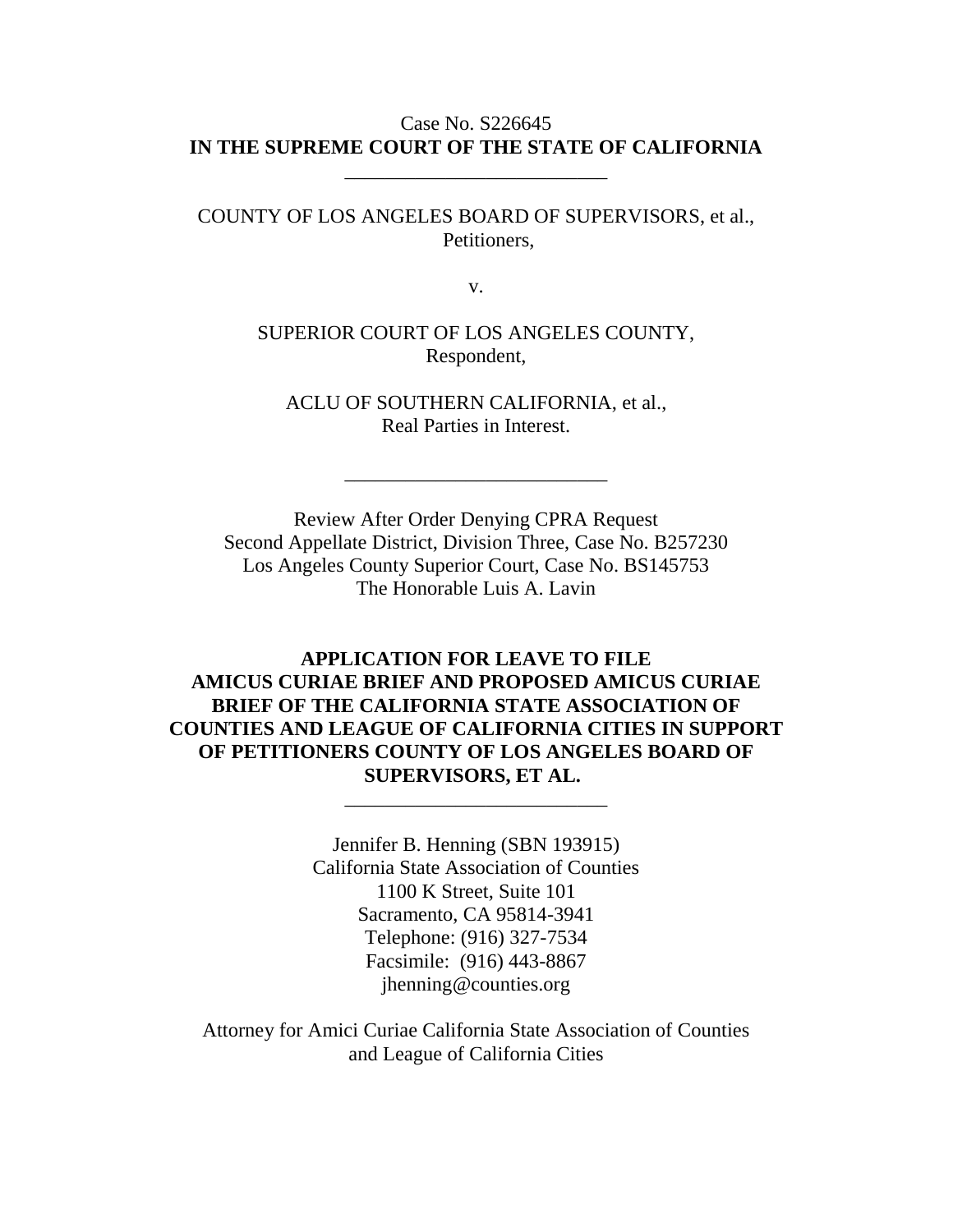# Case No. S226645 **IN THE SUPREME COURT OF THE STATE OF CALIFORNIA**

\_\_\_\_\_\_\_\_\_\_\_\_\_\_\_\_\_\_\_\_\_\_\_\_\_\_

COUNTY OF LOS ANGELES BOARD OF SUPERVISORS, et al., Petitioners,

v.

SUPERIOR COURT OF LOS ANGELES COUNTY, Respondent,

ACLU OF SOUTHERN CALIFORNIA, et al., Real Parties in Interest.

\_\_\_\_\_\_\_\_\_\_\_\_\_\_\_\_\_\_\_\_\_\_\_\_\_\_

Review After Order Denying CPRA Request Second Appellate District, Division Three, Case No. B257230 Los Angeles County Superior Court, Case No. BS145753 The Honorable Luis A. Lavin

**APPLICATION FOR LEAVE TO FILE AMICUS CURIAE BRIEF AND PROPOSED AMICUS CURIAE BRIEF OF THE CALIFORNIA STATE ASSOCIATION OF COUNTIES AND LEAGUE OF CALIFORNIA CITIES IN SUPPORT OF PETITIONERS COUNTY OF LOS ANGELES BOARD OF SUPERVISORS, ET AL.**

\_\_\_\_\_\_\_\_\_\_\_\_\_\_\_\_\_\_\_\_\_\_\_\_\_\_

Jennifer B. Henning (SBN 193915) California State Association of Counties 1100 K Street, Suite 101 Sacramento, CA 95814-3941 Telephone: (916) 327-7534 Facsimile: (916) 443-8867 jhenning@counties.org

Attorney for Amici Curiae California State Association of Counties and League of California Cities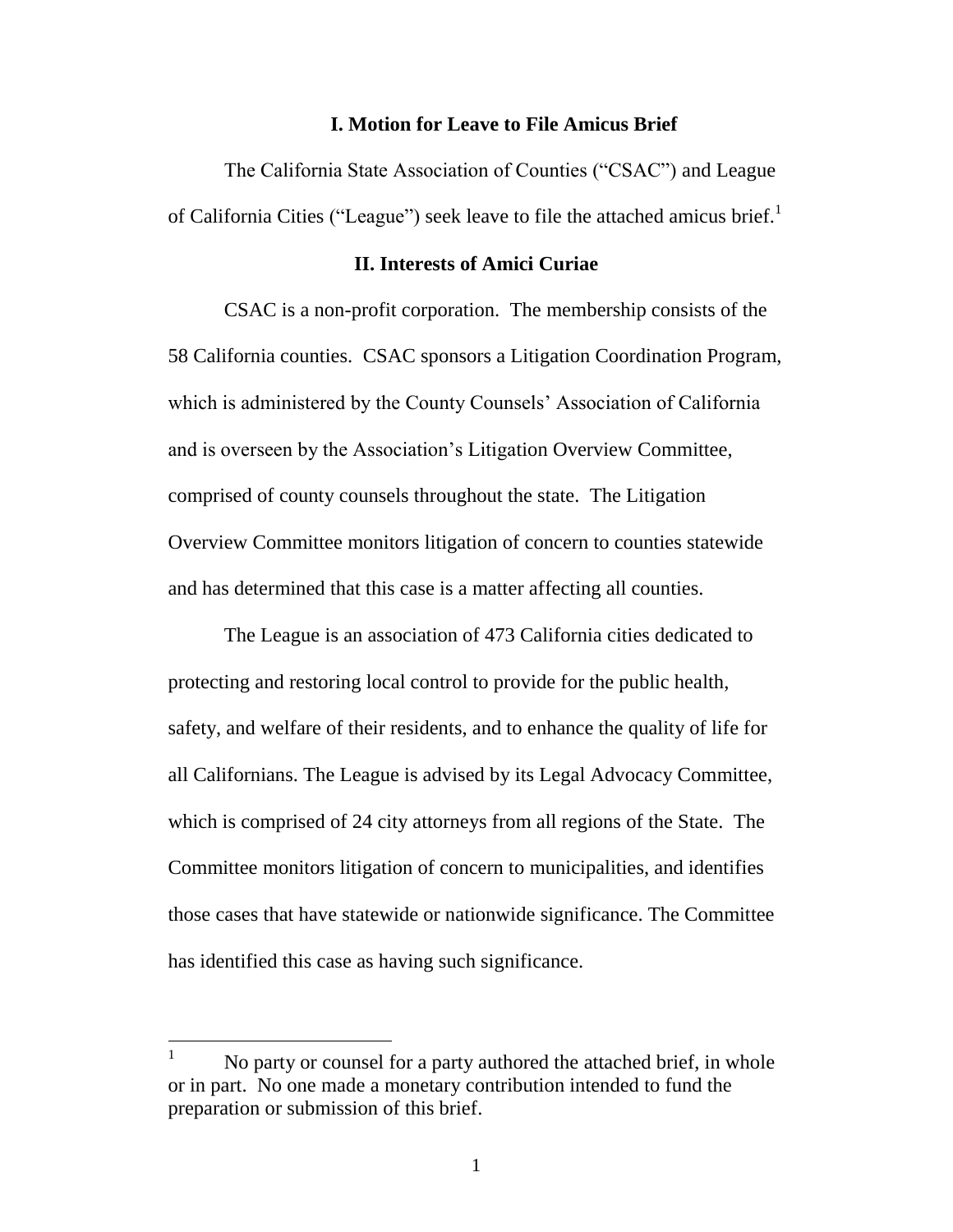#### **I. Motion for Leave to File Amicus Brief**

The California State Association of Counties ("CSAC") and League of California Cities ("League") seek leave to file the attached amicus brief.<sup>1</sup>

#### **II. Interests of Amici Curiae**

CSAC is a non-profit corporation. The membership consists of the 58 California counties. CSAC sponsors a Litigation Coordination Program, which is administered by the County Counsels' Association of California and is overseen by the Association's Litigation Overview Committee, comprised of county counsels throughout the state. The Litigation Overview Committee monitors litigation of concern to counties statewide and has determined that this case is a matter affecting all counties.

The League is an association of 473 California cities dedicated to protecting and restoring local control to provide for the public health, safety, and welfare of their residents, and to enhance the quality of life for all Californians. The League is advised by its Legal Advocacy Committee, which is comprised of 24 city attorneys from all regions of the State. The Committee monitors litigation of concern to municipalities, and identifies those cases that have statewide or nationwide significance. The Committee has identified this case as having such significance.

 $\overline{a}$ 

 $1$  No party or counsel for a party authored the attached brief, in whole or in part. No one made a monetary contribution intended to fund the preparation or submission of this brief.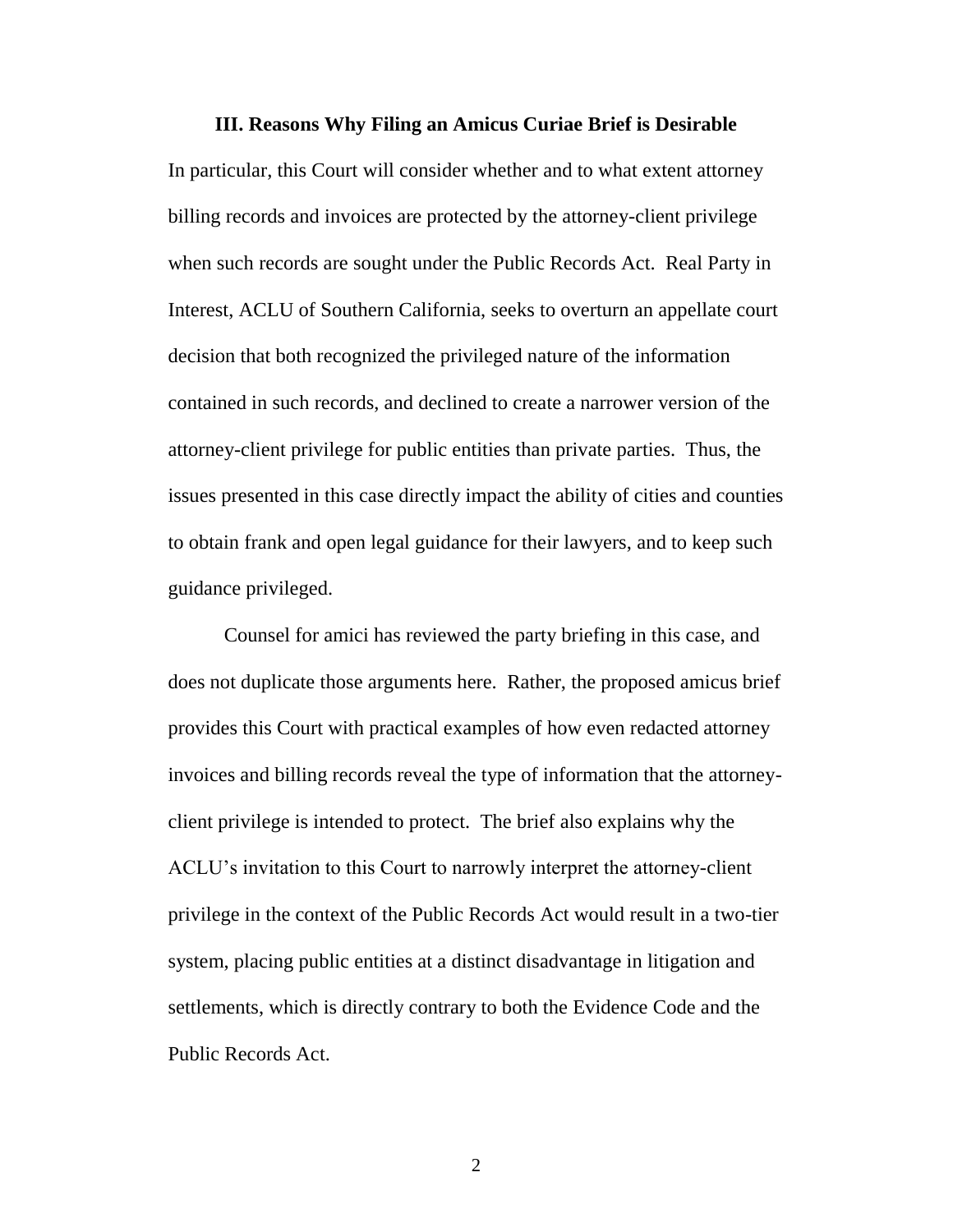#### **III. Reasons Why Filing an Amicus Curiae Brief is Desirable**

In particular, this Court will consider whether and to what extent attorney billing records and invoices are protected by the attorney-client privilege when such records are sought under the Public Records Act. Real Party in Interest, ACLU of Southern California, seeks to overturn an appellate court decision that both recognized the privileged nature of the information contained in such records, and declined to create a narrower version of the attorney-client privilege for public entities than private parties. Thus, the issues presented in this case directly impact the ability of cities and counties to obtain frank and open legal guidance for their lawyers, and to keep such guidance privileged.

Counsel for amici has reviewed the party briefing in this case, and does not duplicate those arguments here. Rather, the proposed amicus brief provides this Court with practical examples of how even redacted attorney invoices and billing records reveal the type of information that the attorneyclient privilege is intended to protect. The brief also explains why the ACLU's invitation to this Court to narrowly interpret the attorney-client privilege in the context of the Public Records Act would result in a two-tier system, placing public entities at a distinct disadvantage in litigation and settlements, which is directly contrary to both the Evidence Code and the Public Records Act.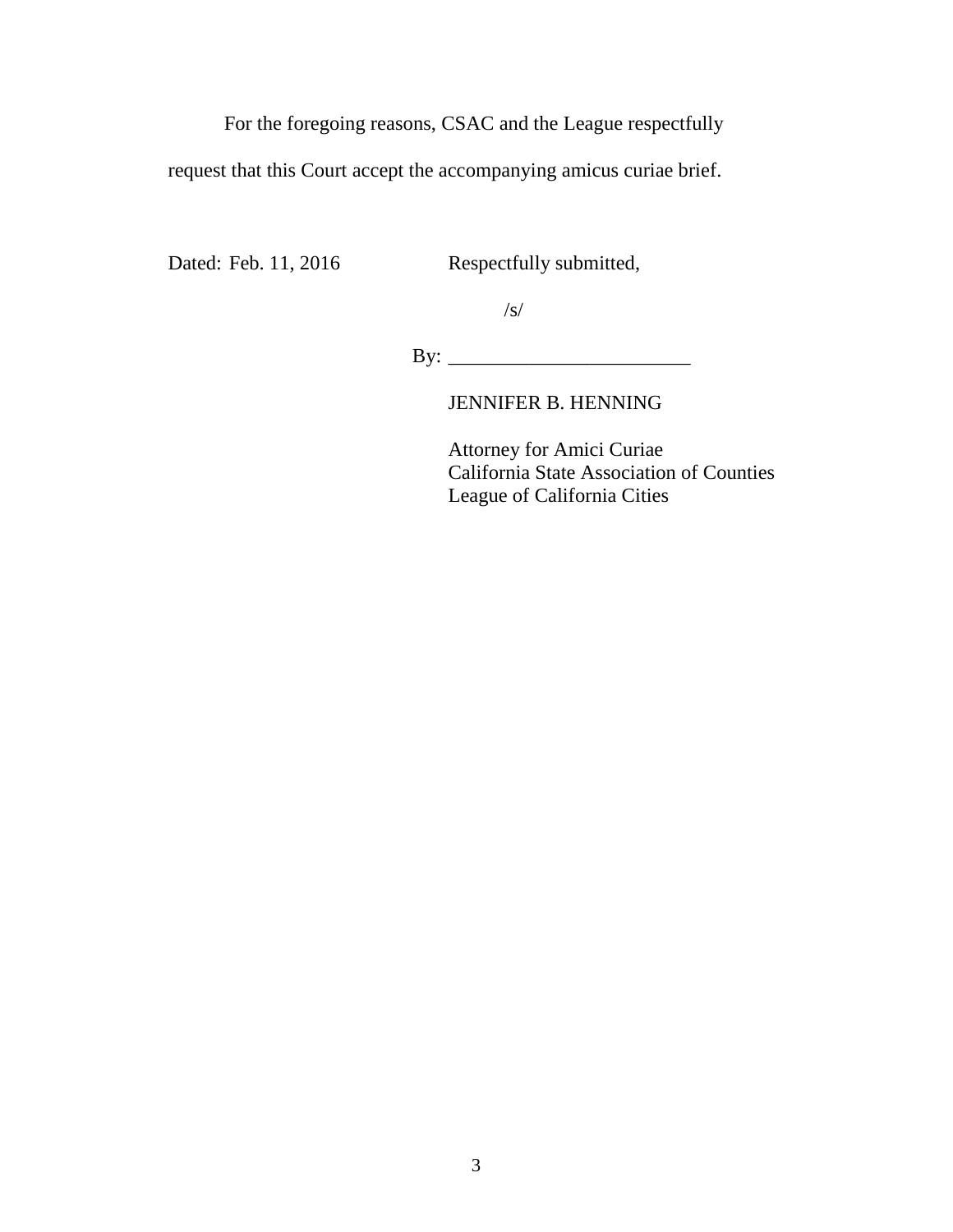For the foregoing reasons, CSAC and the League respectfully

request that this Court accept the accompanying amicus curiae brief.

Dated: Feb. 11, 2016 Respectfully submitted,

/s/

By: \_\_\_\_\_\_\_\_\_\_\_\_\_\_\_\_\_\_\_\_\_\_\_\_

JENNIFER B. HENNING

Attorney for Amici Curiae California State Association of Counties League of California Cities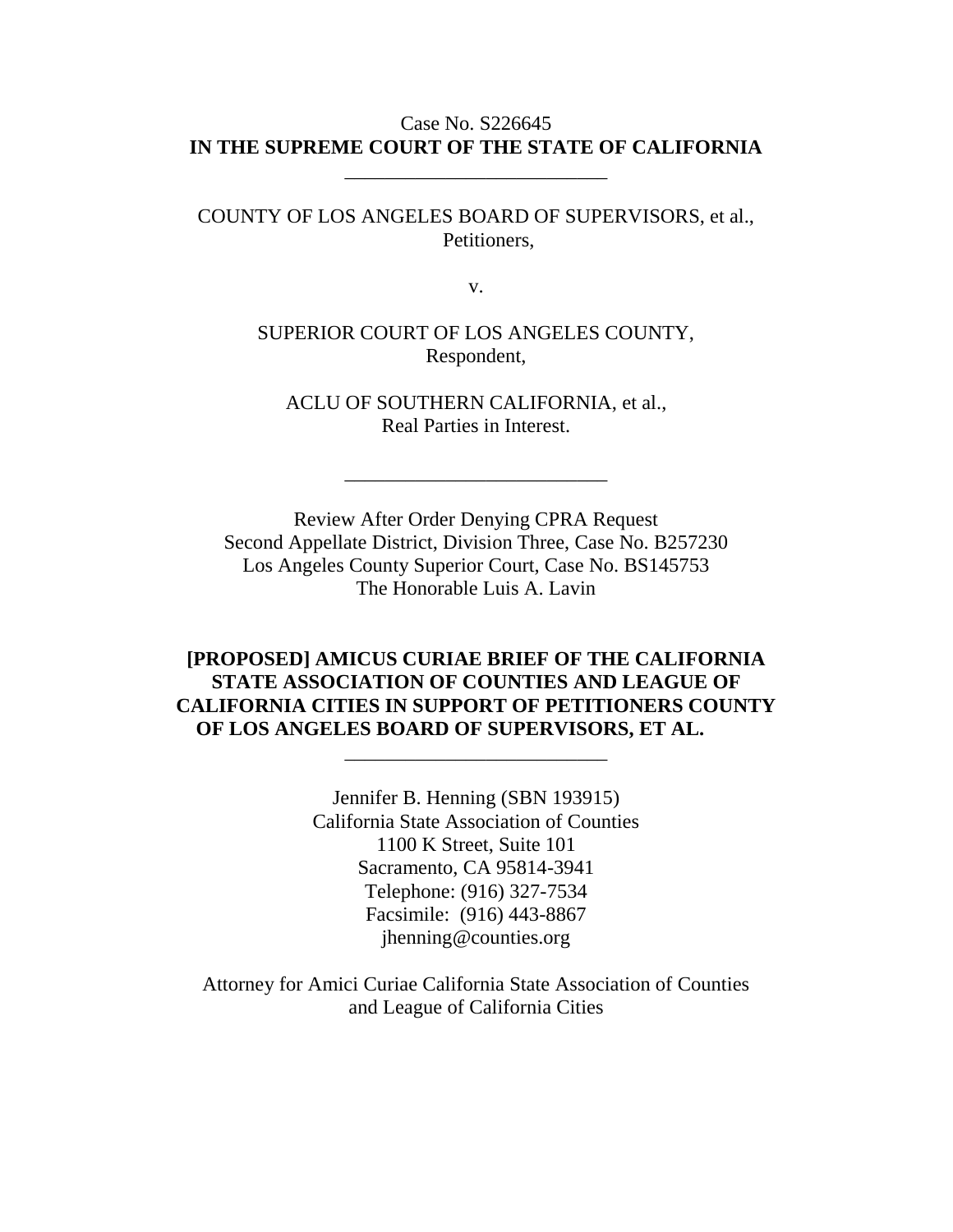# Case No. S226645 **IN THE SUPREME COURT OF THE STATE OF CALIFORNIA**

\_\_\_\_\_\_\_\_\_\_\_\_\_\_\_\_\_\_\_\_\_\_\_\_\_\_

COUNTY OF LOS ANGELES BOARD OF SUPERVISORS, et al., Petitioners,

v.

SUPERIOR COURT OF LOS ANGELES COUNTY, Respondent,

ACLU OF SOUTHERN CALIFORNIA, et al., Real Parties in Interest.

\_\_\_\_\_\_\_\_\_\_\_\_\_\_\_\_\_\_\_\_\_\_\_\_\_\_

Review After Order Denying CPRA Request Second Appellate District, Division Three, Case No. B257230 Los Angeles County Superior Court, Case No. BS145753 The Honorable Luis A. Lavin

# **[PROPOSED] AMICUS CURIAE BRIEF OF THE CALIFORNIA STATE ASSOCIATION OF COUNTIES AND LEAGUE OF CALIFORNIA CITIES IN SUPPORT OF PETITIONERS COUNTY OF LOS ANGELES BOARD OF SUPERVISORS, ET AL.**

\_\_\_\_\_\_\_\_\_\_\_\_\_\_\_\_\_\_\_\_\_\_\_\_\_\_

Jennifer B. Henning (SBN 193915) California State Association of Counties 1100 K Street, Suite 101 Sacramento, CA 95814-3941 Telephone: (916) 327-7534 Facsimile: (916) 443-8867 jhenning@counties.org

Attorney for Amici Curiae California State Association of Counties and League of California Cities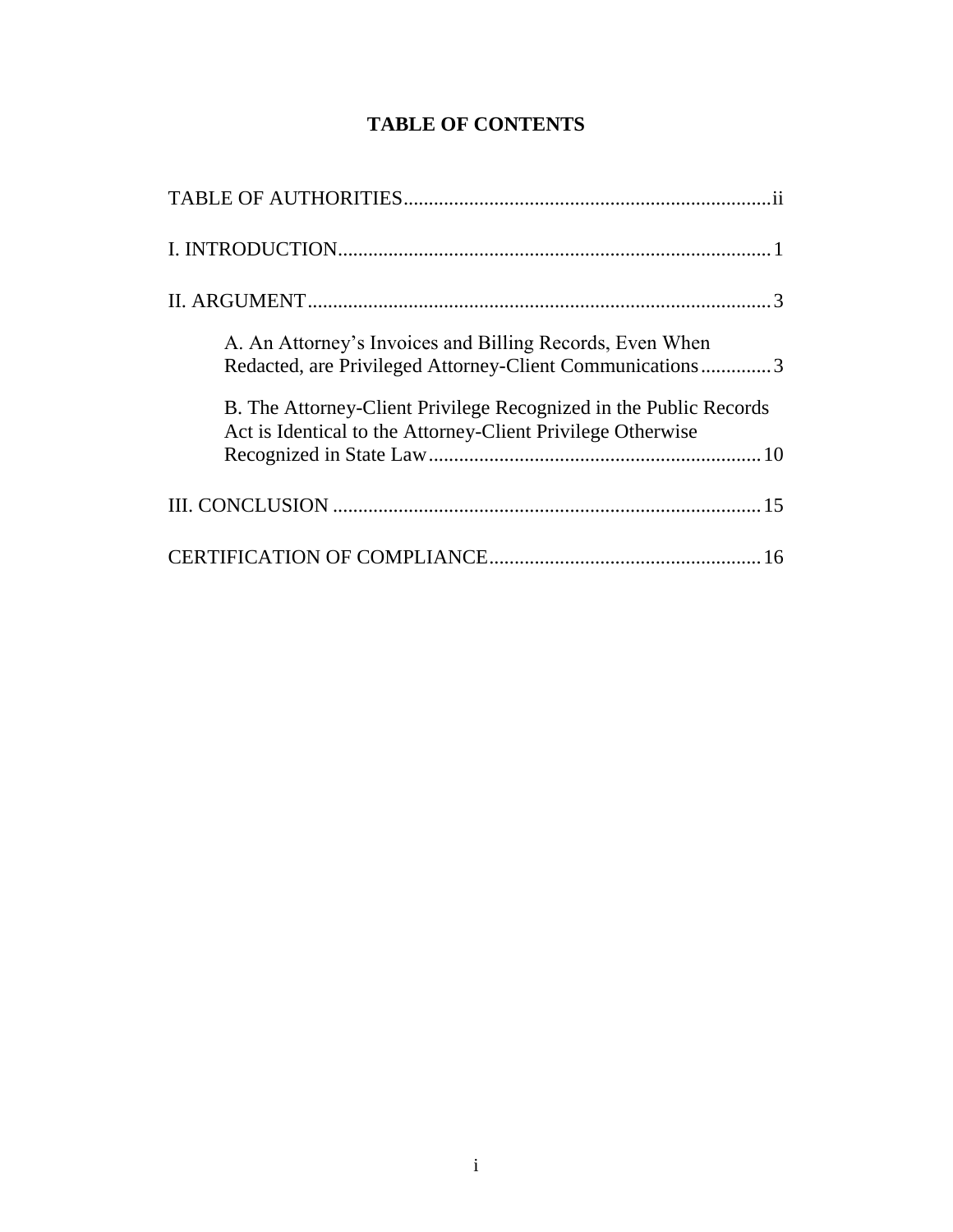# **TABLE OF CONTENTS**

| A. An Attorney's Invoices and Billing Records, Even When<br>Redacted, are Privileged Attorney-Client Communications3             |
|----------------------------------------------------------------------------------------------------------------------------------|
| B. The Attorney-Client Privilege Recognized in the Public Records<br>Act is Identical to the Attorney-Client Privilege Otherwise |
|                                                                                                                                  |
|                                                                                                                                  |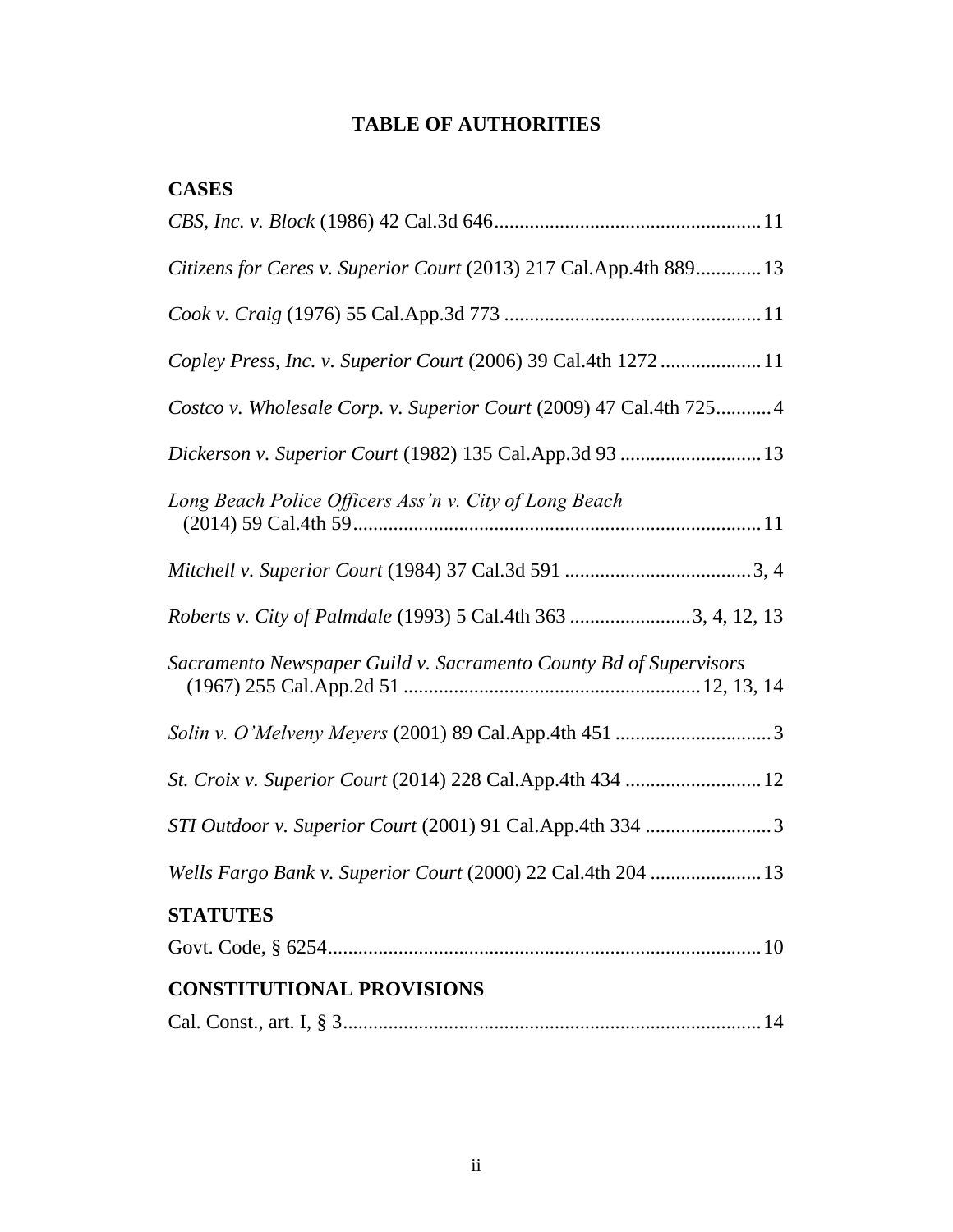# <span id="page-6-0"></span>**TABLE OF AUTHORITIES**

| <b>CASES</b>                                                        |
|---------------------------------------------------------------------|
|                                                                     |
| Citizens for Ceres v. Superior Court (2013) 217 Cal.App.4th 889 13  |
|                                                                     |
| Copley Press, Inc. v. Superior Court (2006) 39 Cal.4th 1272  11     |
| Costco v. Wholesale Corp. v. Superior Court (2009) 47 Cal.4th 725 4 |
| Dickerson v. Superior Court (1982) 135 Cal.App.3d 93  13            |
| Long Beach Police Officers Ass'n v. City of Long Beach              |
|                                                                     |
| Roberts v. City of Palmdale (1993) 5 Cal.4th 363 3, 4, 12, 13       |
| Sacramento Newspaper Guild v. Sacramento County Bd of Supervisors   |
|                                                                     |
| St. Croix v. Superior Court (2014) 228 Cal.App.4th 434  12          |
| STI Outdoor v. Superior Court (2001) 91 Cal.App.4th 334 3           |
| Wells Fargo Bank v. Superior Court (2000) 22 Cal.4th 204  13        |
| <b>STATUTES</b>                                                     |
|                                                                     |
| <b>CONSTITUTIONAL PROVISIONS</b>                                    |
|                                                                     |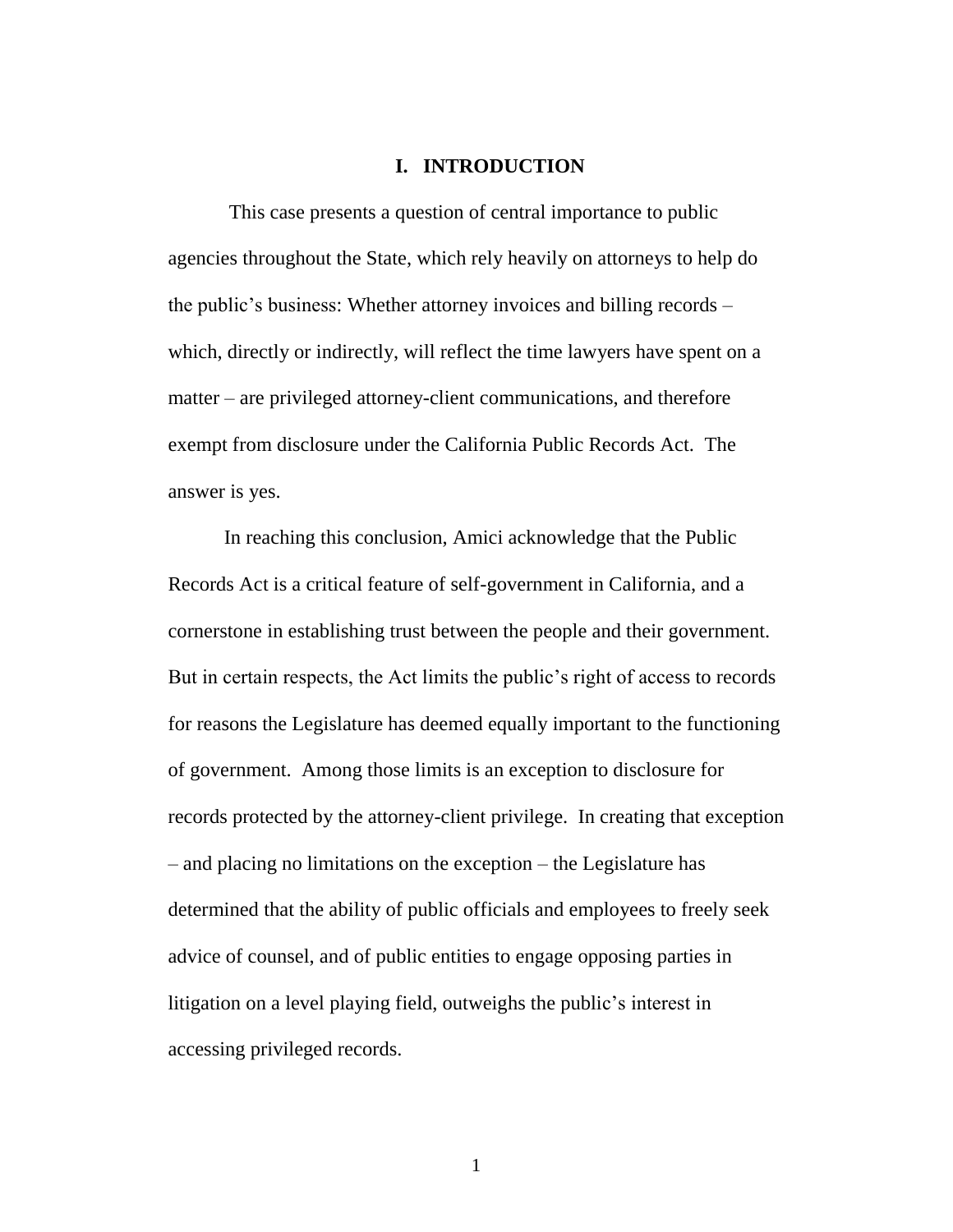#### <span id="page-7-0"></span>**I. INTRODUCTION**

This case presents a question of central importance to public agencies throughout the State, which rely heavily on attorneys to help do the public's business: Whether attorney invoices and billing records – which, directly or indirectly, will reflect the time lawyers have spent on a matter – are privileged attorney-client communications, and therefore exempt from disclosure under the California Public Records Act. The answer is yes.

In reaching this conclusion, Amici acknowledge that the Public Records Act is a critical feature of self-government in California, and a cornerstone in establishing trust between the people and their government. But in certain respects, the Act limits the public's right of access to records for reasons the Legislature has deemed equally important to the functioning of government. Among those limits is an exception to disclosure for records protected by the attorney-client privilege. In creating that exception – and placing no limitations on the exception – the Legislature has determined that the ability of public officials and employees to freely seek advice of counsel, and of public entities to engage opposing parties in litigation on a level playing field, outweighs the public's interest in accessing privileged records.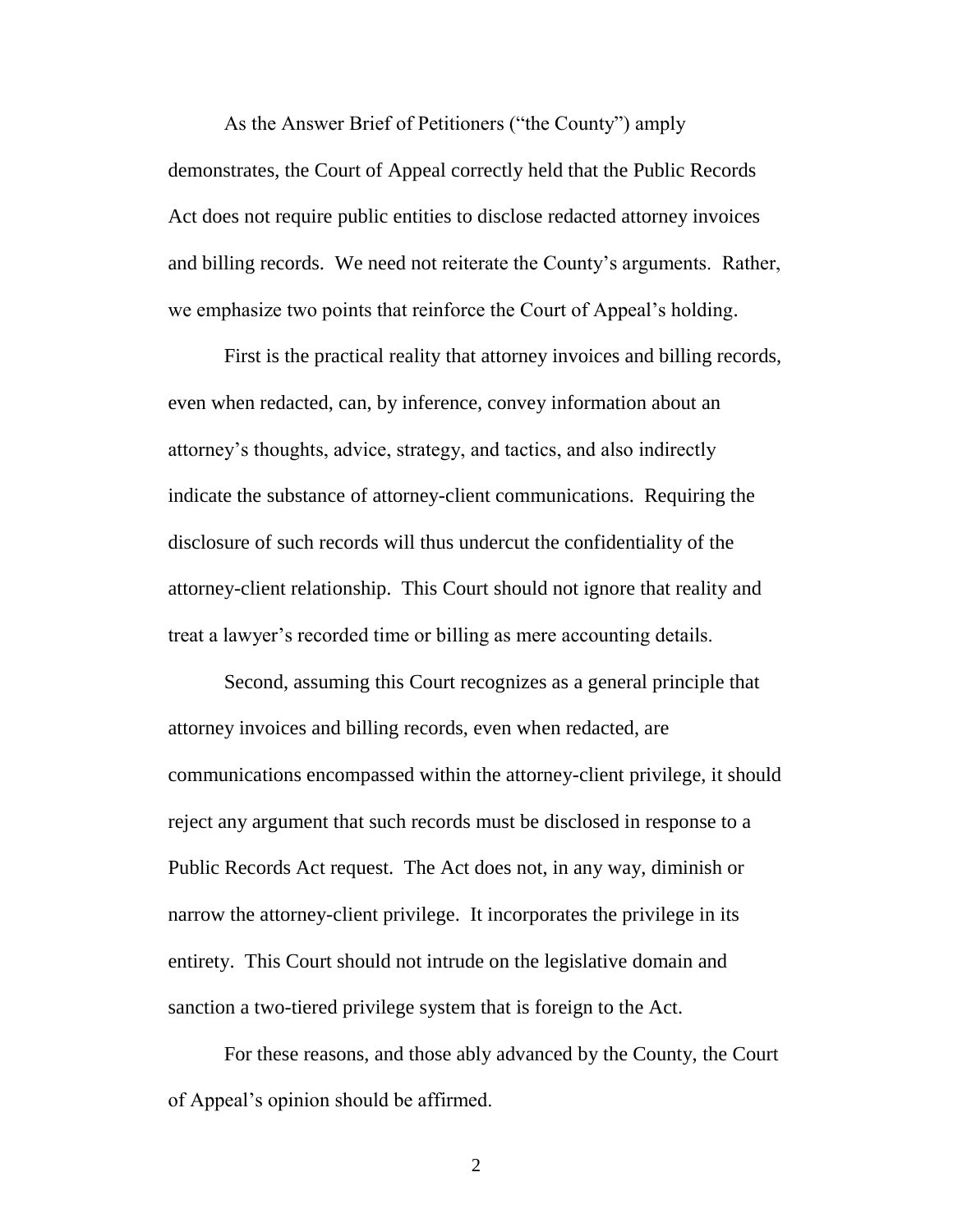As the Answer Brief of Petitioners ("the County") amply demonstrates, the Court of Appeal correctly held that the Public Records Act does not require public entities to disclose redacted attorney invoices and billing records. We need not reiterate the County's arguments. Rather, we emphasize two points that reinforce the Court of Appeal's holding.

First is the practical reality that attorney invoices and billing records, even when redacted, can, by inference, convey information about an attorney's thoughts, advice, strategy, and tactics, and also indirectly indicate the substance of attorney-client communications. Requiring the disclosure of such records will thus undercut the confidentiality of the attorney-client relationship. This Court should not ignore that reality and treat a lawyer's recorded time or billing as mere accounting details.

Second, assuming this Court recognizes as a general principle that attorney invoices and billing records, even when redacted, are communications encompassed within the attorney-client privilege, it should reject any argument that such records must be disclosed in response to a Public Records Act request. The Act does not, in any way, diminish or narrow the attorney-client privilege. It incorporates the privilege in its entirety. This Court should not intrude on the legislative domain and sanction a two-tiered privilege system that is foreign to the Act.

For these reasons, and those ably advanced by the County, the Court of Appeal's opinion should be affirmed.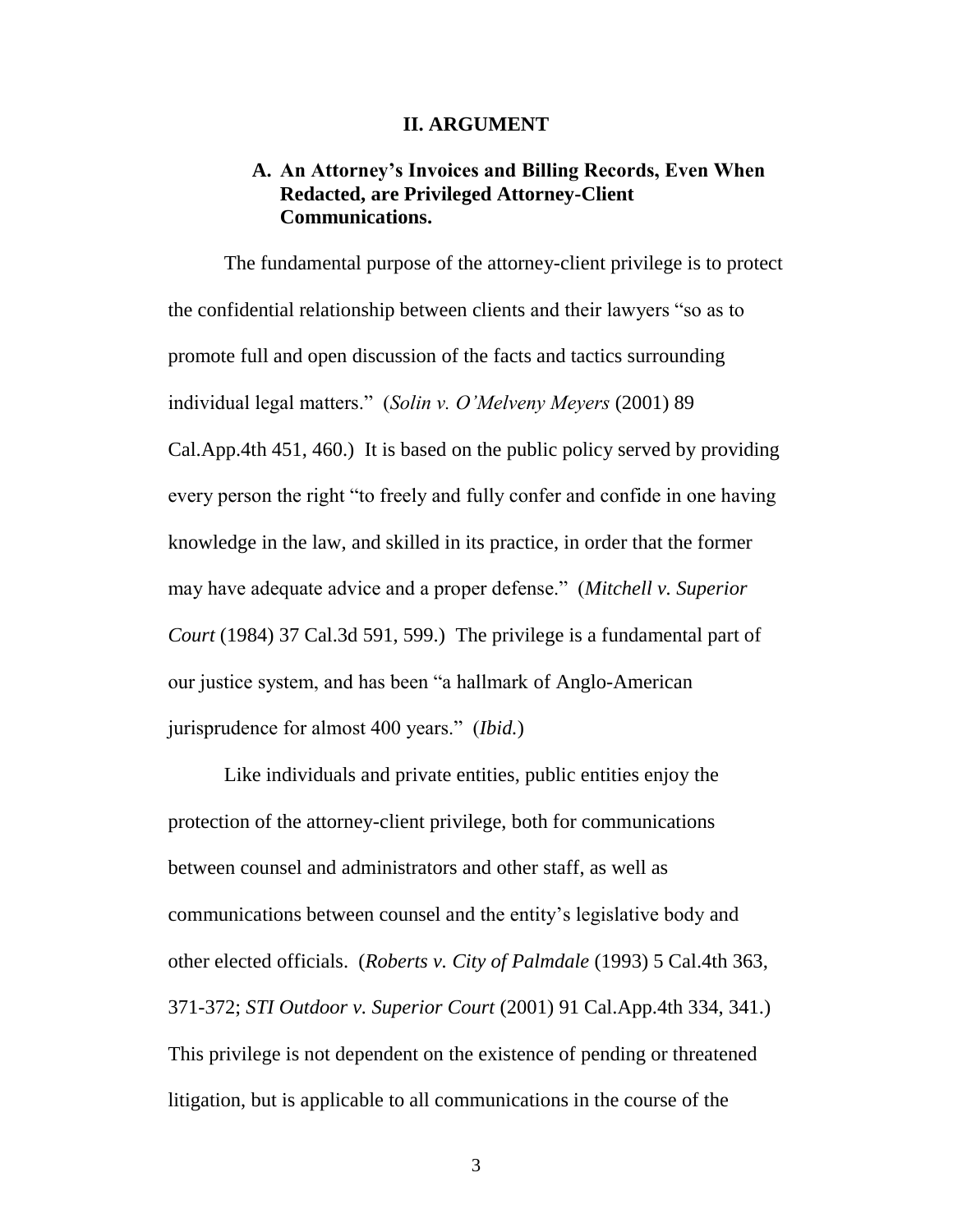#### <span id="page-9-1"></span><span id="page-9-0"></span>**II. ARGUMENT**

# **A. An Attorney's Invoices and Billing Records, Even When Redacted, are Privileged Attorney-Client Communications.**

The fundamental purpose of the attorney-client privilege is to protect the confidential relationship between clients and their lawyers "so as to promote full and open discussion of the facts and tactics surrounding individual legal matters." (*Solin v. O'Melveny Meyers* (2001) 89 Cal.App.4th 451, 460.) It is based on the public policy served by providing every person the right "to freely and fully confer and confide in one having knowledge in the law, and skilled in its practice, in order that the former may have adequate advice and a proper defense." (*Mitchell v. Superior Court* (1984) 37 Cal.3d 591, 599.) The privilege is a fundamental part of our justice system, and has been "a hallmark of Anglo-American jurisprudence for almost 400 years." (*Ibid.*)

Like individuals and private entities, public entities enjoy the protection of the attorney-client privilege, both for communications between counsel and administrators and other staff, as well as communications between counsel and the entity's legislative body and other elected officials. (*Roberts v. City of Palmdale* (1993) 5 Cal.4th 363, 371-372; *STI Outdoor v. Superior Court* (2001) 91 Cal.App.4th 334, 341.) This privilege is not dependent on the existence of pending or threatened litigation, but is applicable to all communications in the course of the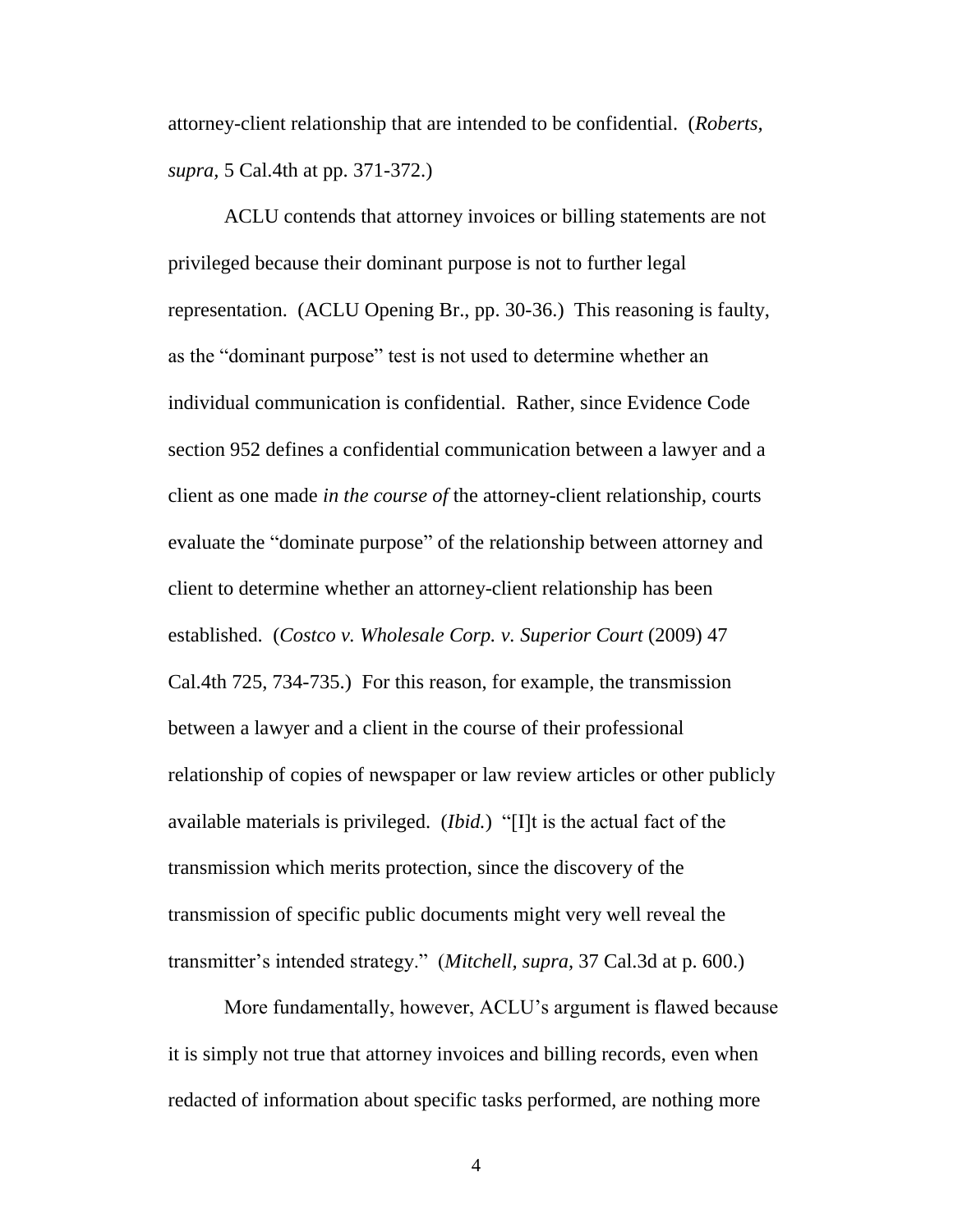attorney-client relationship that are intended to be confidential. (*Roberts, supra,* 5 Cal.4th at pp. 371-372.)

ACLU contends that attorney invoices or billing statements are not privileged because their dominant purpose is not to further legal representation. (ACLU Opening Br., pp. 30-36.) This reasoning is faulty, as the "dominant purpose" test is not used to determine whether an individual communication is confidential. Rather, since Evidence Code section 952 defines a confidential communication between a lawyer and a client as one made *in the course of* the attorney-client relationship, courts evaluate the "dominate purpose" of the relationship between attorney and client to determine whether an attorney-client relationship has been established. (*Costco v. Wholesale Corp. v. Superior Court* (2009) 47 Cal.4th 725, 734-735.) For this reason, for example, the transmission between a lawyer and a client in the course of their professional relationship of copies of newspaper or law review articles or other publicly available materials is privileged. (*Ibid.*) "[I]t is the actual fact of the transmission which merits protection, since the discovery of the transmission of specific public documents might very well reveal the transmitter's intended strategy." (*Mitchell, supra,* 37 Cal.3d at p. 600.)

More fundamentally, however, ACLU's argument is flawed because it is simply not true that attorney invoices and billing records, even when redacted of information about specific tasks performed, are nothing more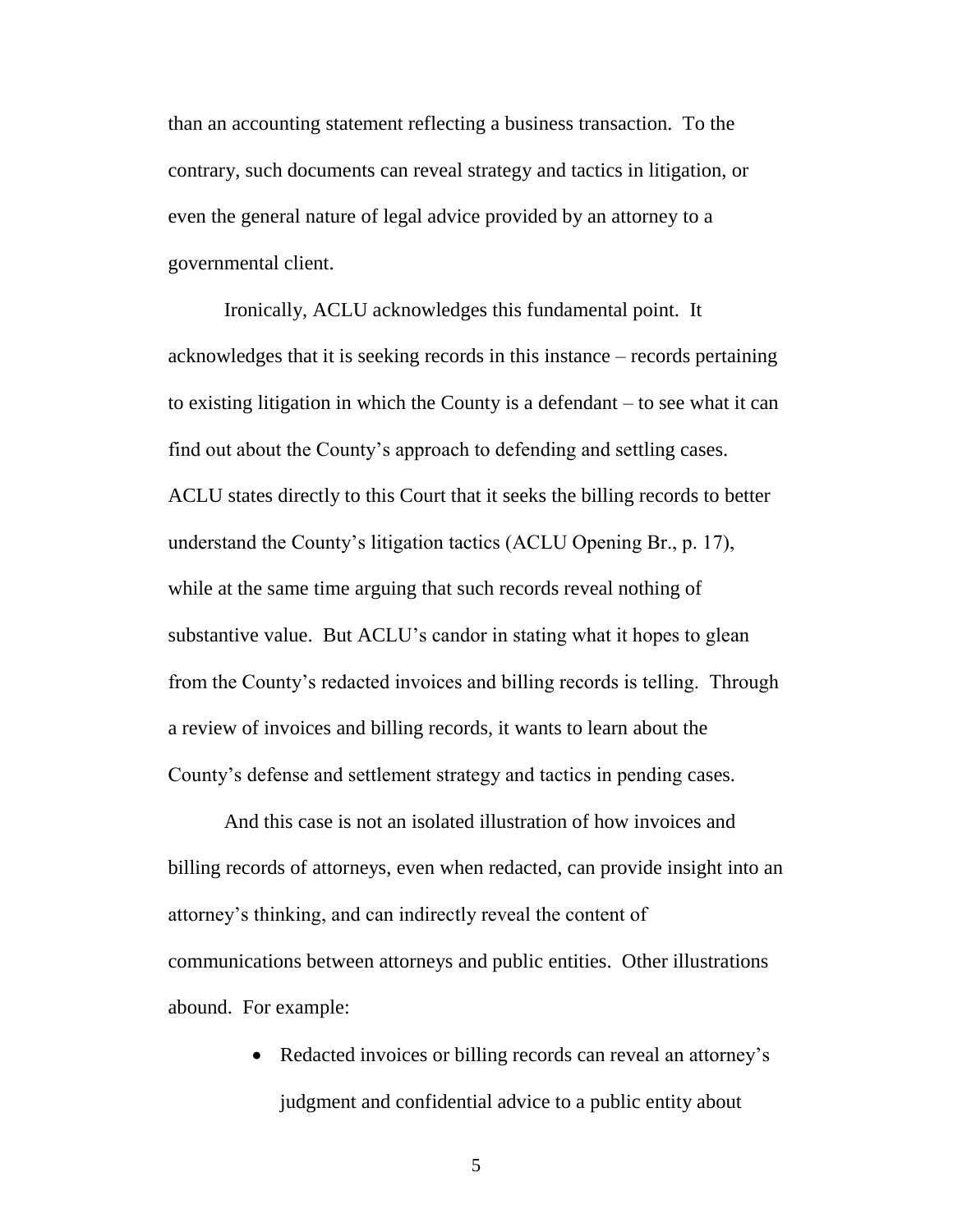than an accounting statement reflecting a business transaction. To the contrary, such documents can reveal strategy and tactics in litigation, or even the general nature of legal advice provided by an attorney to a governmental client.

Ironically, ACLU acknowledges this fundamental point. It acknowledges that it is seeking records in this instance – records pertaining to existing litigation in which the County is a defendant – to see what it can find out about the County's approach to defending and settling cases. ACLU states directly to this Court that it seeks the billing records to better understand the County's litigation tactics (ACLU Opening Br., p. 17), while at the same time arguing that such records reveal nothing of substantive value. But ACLU's candor in stating what it hopes to glean from the County's redacted invoices and billing records is telling. Through a review of invoices and billing records, it wants to learn about the County's defense and settlement strategy and tactics in pending cases.

And this case is not an isolated illustration of how invoices and billing records of attorneys, even when redacted, can provide insight into an attorney's thinking, and can indirectly reveal the content of communications between attorneys and public entities. Other illustrations abound. For example:

> • Redacted invoices or billing records can reveal an attorney's judgment and confidential advice to a public entity about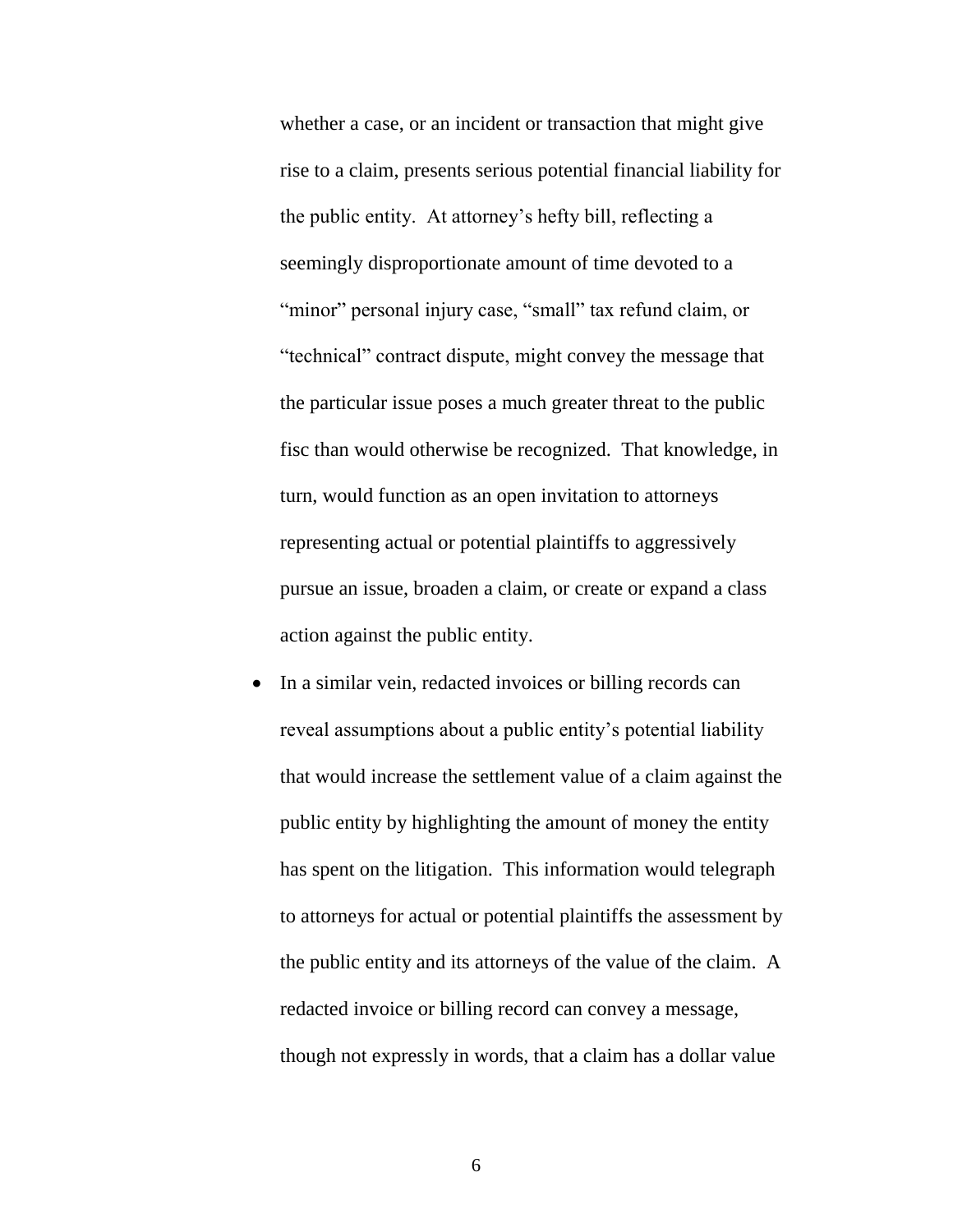whether a case, or an incident or transaction that might give rise to a claim, presents serious potential financial liability for the public entity. At attorney's hefty bill, reflecting a seemingly disproportionate amount of time devoted to a "minor" personal injury case, "small" tax refund claim, or "technical" contract dispute, might convey the message that the particular issue poses a much greater threat to the public fisc than would otherwise be recognized. That knowledge, in turn, would function as an open invitation to attorneys representing actual or potential plaintiffs to aggressively pursue an issue, broaden a claim, or create or expand a class action against the public entity.

• In a similar vein, redacted invoices or billing records can reveal assumptions about a public entity's potential liability that would increase the settlement value of a claim against the public entity by highlighting the amount of money the entity has spent on the litigation. This information would telegraph to attorneys for actual or potential plaintiffs the assessment by the public entity and its attorneys of the value of the claim. A redacted invoice or billing record can convey a message, though not expressly in words, that a claim has a dollar value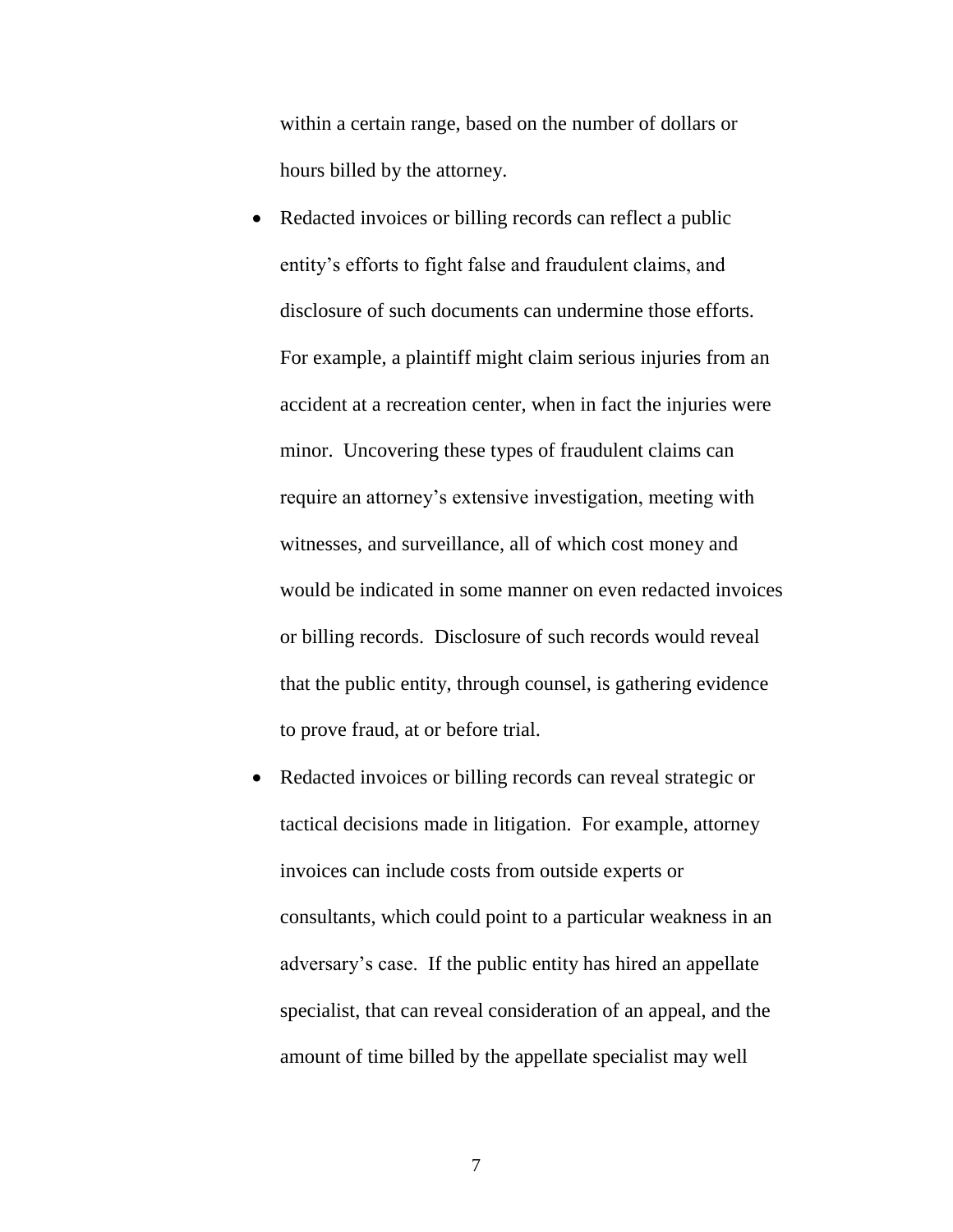within a certain range, based on the number of dollars or hours billed by the attorney.

- Redacted invoices or billing records can reflect a public entity's efforts to fight false and fraudulent claims, and disclosure of such documents can undermine those efforts. For example, a plaintiff might claim serious injuries from an accident at a recreation center, when in fact the injuries were minor. Uncovering these types of fraudulent claims can require an attorney's extensive investigation, meeting with witnesses, and surveillance, all of which cost money and would be indicated in some manner on even redacted invoices or billing records. Disclosure of such records would reveal that the public entity, through counsel, is gathering evidence to prove fraud, at or before trial.
- Redacted invoices or billing records can reveal strategic or tactical decisions made in litigation. For example, attorney invoices can include costs from outside experts or consultants, which could point to a particular weakness in an adversary's case. If the public entity has hired an appellate specialist, that can reveal consideration of an appeal, and the amount of time billed by the appellate specialist may well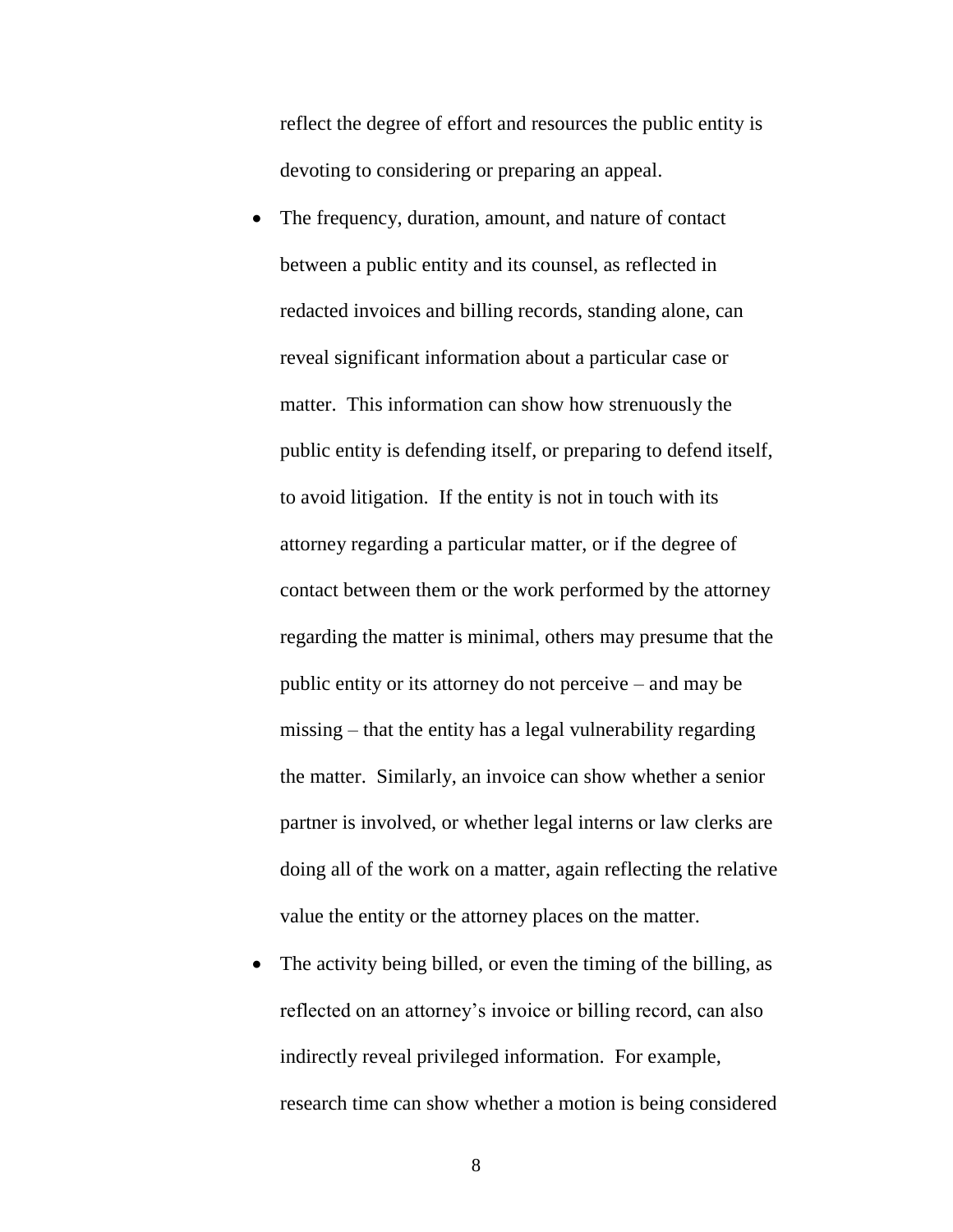reflect the degree of effort and resources the public entity is devoting to considering or preparing an appeal.

- The frequency, duration, amount, and nature of contact between a public entity and its counsel, as reflected in redacted invoices and billing records, standing alone, can reveal significant information about a particular case or matter. This information can show how strenuously the public entity is defending itself, or preparing to defend itself, to avoid litigation. If the entity is not in touch with its attorney regarding a particular matter, or if the degree of contact between them or the work performed by the attorney regarding the matter is minimal, others may presume that the public entity or its attorney do not perceive – and may be missing – that the entity has a legal vulnerability regarding the matter. Similarly, an invoice can show whether a senior partner is involved, or whether legal interns or law clerks are doing all of the work on a matter, again reflecting the relative value the entity or the attorney places on the matter.
- The activity being billed, or even the timing of the billing, as reflected on an attorney's invoice or billing record, can also indirectly reveal privileged information. For example, research time can show whether a motion is being considered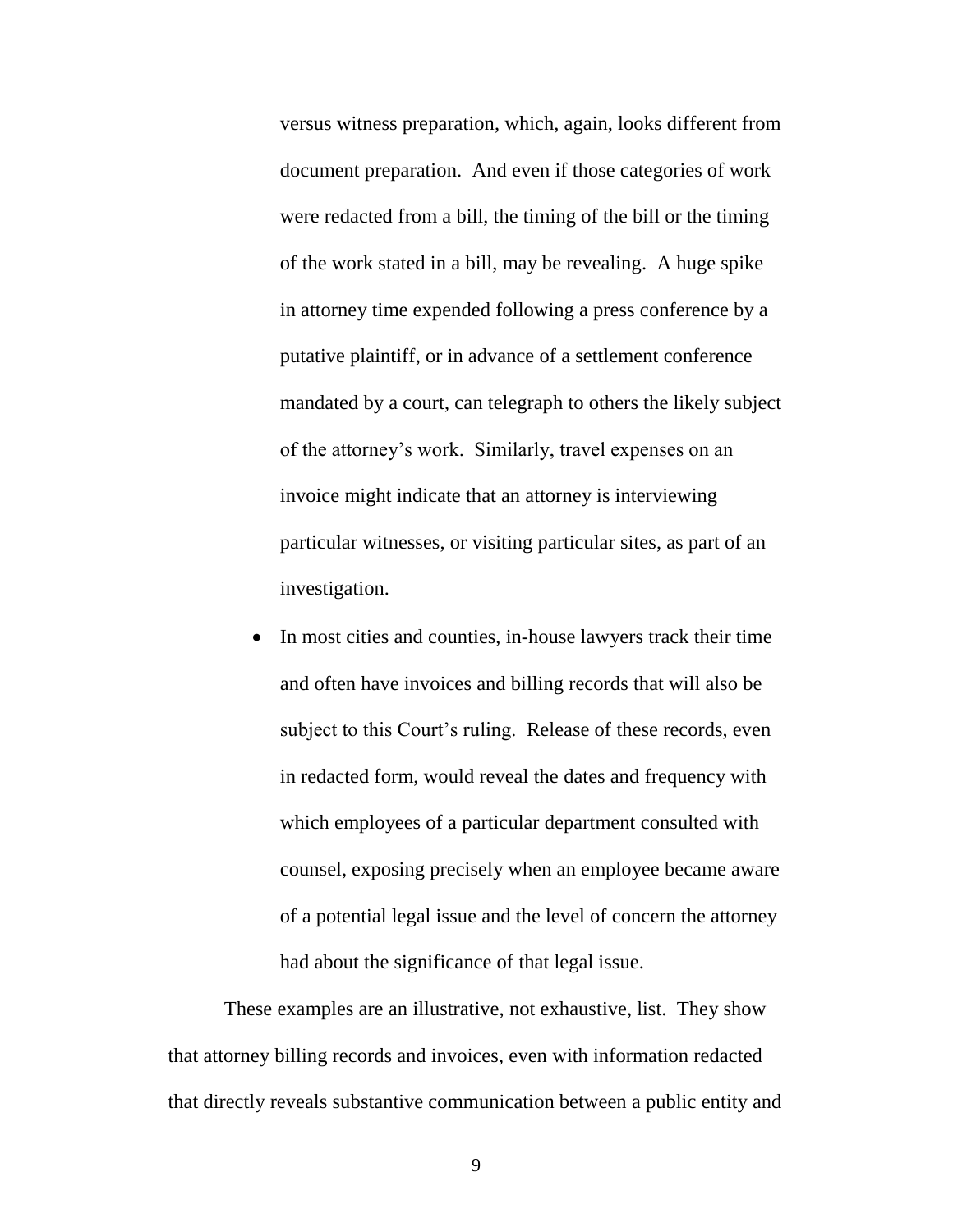versus witness preparation, which, again, looks different from document preparation. And even if those categories of work were redacted from a bill, the timing of the bill or the timing of the work stated in a bill, may be revealing. A huge spike in attorney time expended following a press conference by a putative plaintiff, or in advance of a settlement conference mandated by a court, can telegraph to others the likely subject of the attorney's work. Similarly, travel expenses on an invoice might indicate that an attorney is interviewing particular witnesses, or visiting particular sites, as part of an investigation.

 In most cities and counties, in-house lawyers track their time and often have invoices and billing records that will also be subject to this Court's ruling. Release of these records, even in redacted form, would reveal the dates and frequency with which employees of a particular department consulted with counsel, exposing precisely when an employee became aware of a potential legal issue and the level of concern the attorney had about the significance of that legal issue.

These examples are an illustrative, not exhaustive, list. They show that attorney billing records and invoices, even with information redacted that directly reveals substantive communication between a public entity and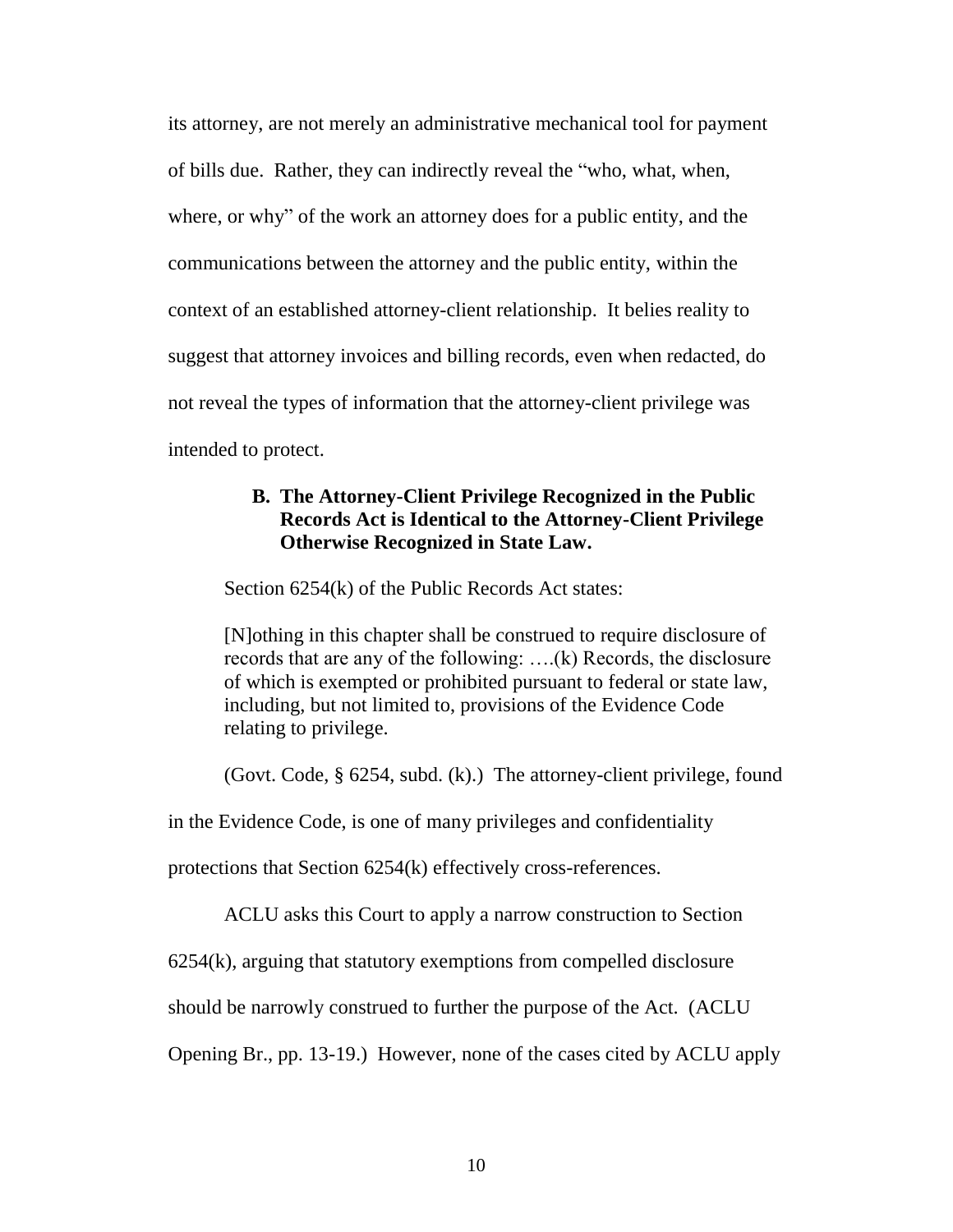its attorney, are not merely an administrative mechanical tool for payment of bills due. Rather, they can indirectly reveal the "who, what, when, where, or why" of the work an attorney does for a public entity, and the communications between the attorney and the public entity, within the context of an established attorney-client relationship. It belies reality to suggest that attorney invoices and billing records, even when redacted, do not reveal the types of information that the attorney-client privilege was intended to protect.

# <span id="page-16-0"></span>**B. The Attorney-Client Privilege Recognized in the Public Records Act is Identical to the Attorney-Client Privilege Otherwise Recognized in State Law.**

Section 6254(k) of the Public Records Act states:

[N]othing in this chapter shall be construed to require disclosure of records that are any of the following: ….(k) Records, the disclosure of which is exempted or prohibited pursuant to federal or state law, including, but not limited to, provisions of the Evidence Code relating to privilege.

(Govt. Code, § 6254, subd. (k).) The attorney-client privilege, found

in the Evidence Code, is one of many privileges and confidentiality

protections that Section 6254(k) effectively cross-references.

ACLU asks this Court to apply a narrow construction to Section

6254(k), arguing that statutory exemptions from compelled disclosure

should be narrowly construed to further the purpose of the Act. (ACLU

Opening Br., pp. 13-19.) However, none of the cases cited by ACLU apply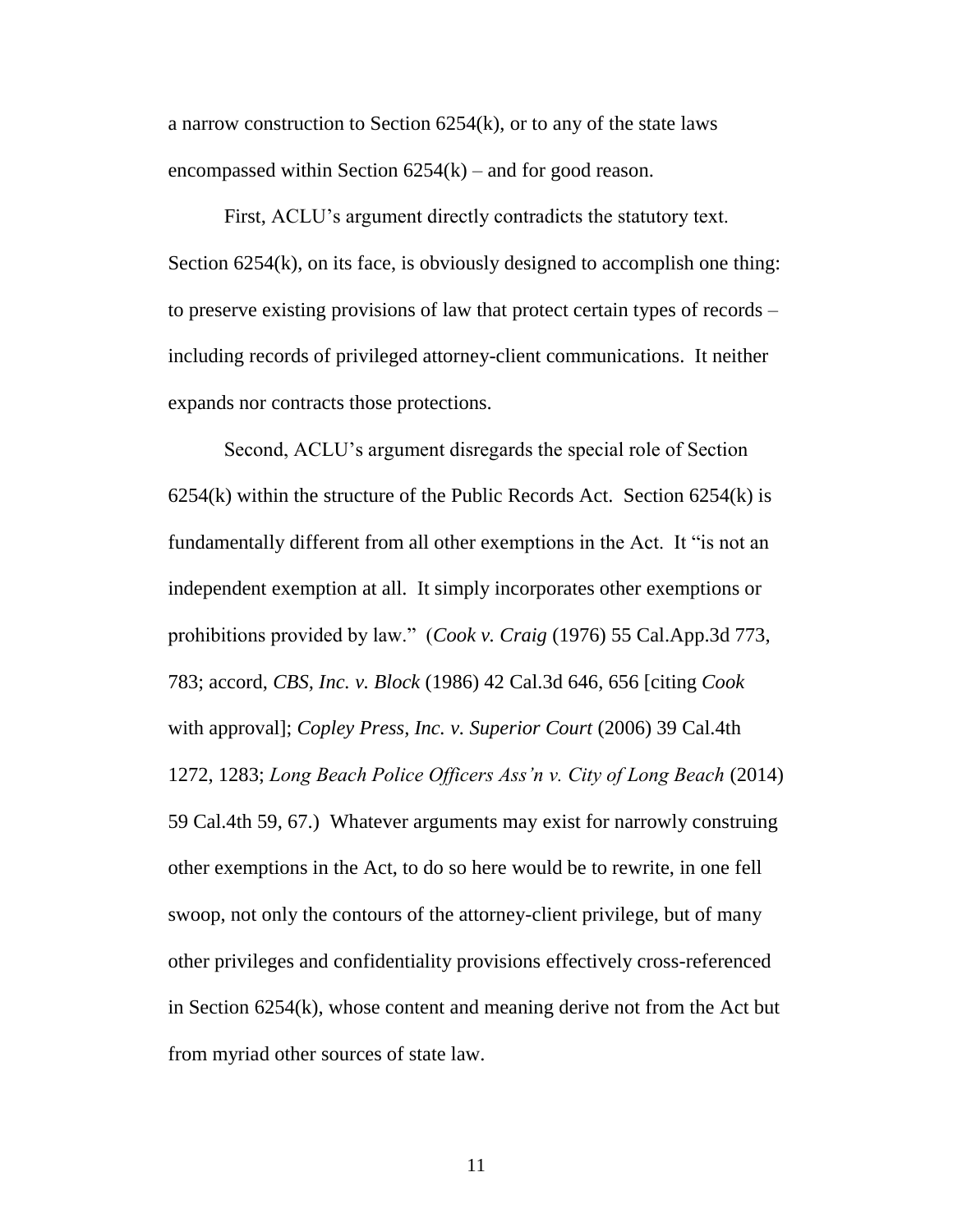a narrow construction to Section 6254(k), or to any of the state laws encompassed within Section  $6254(k)$  – and for good reason.

First, ACLU's argument directly contradicts the statutory text. Section 6254(k), on its face, is obviously designed to accomplish one thing: to preserve existing provisions of law that protect certain types of records – including records of privileged attorney-client communications. It neither expands nor contracts those protections.

Second, ACLU's argument disregards the special role of Section  $6254(k)$  within the structure of the Public Records Act. Section  $6254(k)$  is fundamentally different from all other exemptions in the Act. It "is not an independent exemption at all. It simply incorporates other exemptions or prohibitions provided by law." (*Cook v. Craig* (1976) 55 Cal.App.3d 773, 783; accord, *CBS, Inc. v. Block* (1986) 42 Cal.3d 646, 656 [citing *Cook* with approval]; *Copley Press, Inc. v. Superior Court* (2006) 39 Cal.4th 1272, 1283; *Long Beach Police Officers Ass'n v. City of Long Beach* (2014) 59 Cal.4th 59, 67.) Whatever arguments may exist for narrowly construing other exemptions in the Act, to do so here would be to rewrite, in one fell swoop, not only the contours of the attorney-client privilege, but of many other privileges and confidentiality provisions effectively cross-referenced in Section 6254(k), whose content and meaning derive not from the Act but from myriad other sources of state law.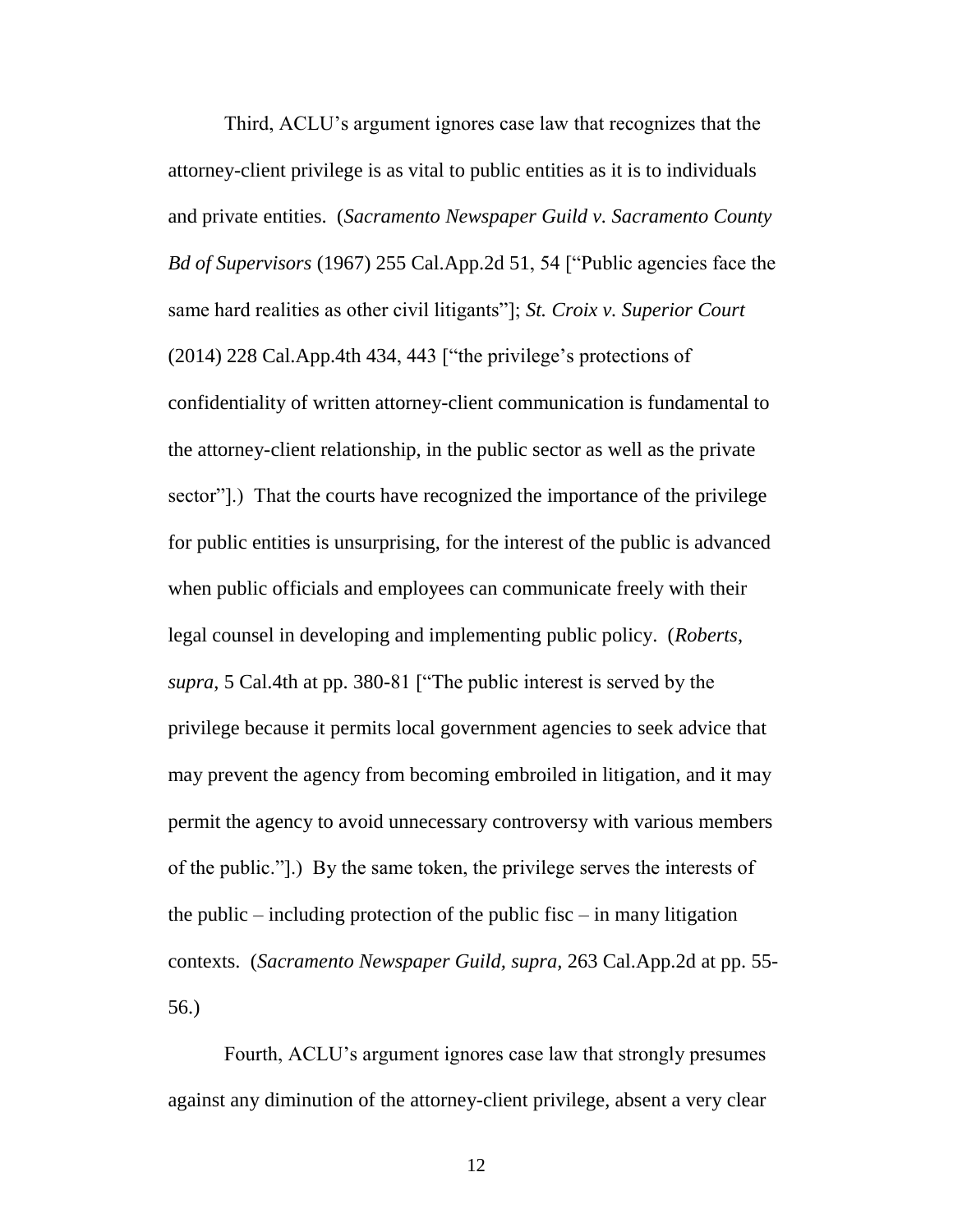Third, ACLU's argument ignores case law that recognizes that the attorney-client privilege is as vital to public entities as it is to individuals and private entities. (*Sacramento Newspaper Guild v. Sacramento County Bd of Supervisors* (1967) 255 Cal.App.2d 51, 54 ["Public agencies face the same hard realities as other civil litigants"]; *St. Croix v. Superior Court* (2014) 228 Cal.App.4th 434, 443 ["the privilege's protections of confidentiality of written attorney-client communication is fundamental to the attorney-client relationship, in the public sector as well as the private sector"].) That the courts have recognized the importance of the privilege for public entities is unsurprising, for the interest of the public is advanced when public officials and employees can communicate freely with their legal counsel in developing and implementing public policy. (*Roberts*, *supra*, 5 Cal.4th at pp. 380-81 ["The public interest is served by the privilege because it permits local government agencies to seek advice that may prevent the agency from becoming embroiled in litigation, and it may permit the agency to avoid unnecessary controversy with various members of the public."].) By the same token, the privilege serves the interests of the public – including protection of the public fisc – in many litigation contexts. (*Sacramento Newspaper Guild, supra,* 263 Cal.App.2d at pp. 55- 56.)

Fourth, ACLU's argument ignores case law that strongly presumes against any diminution of the attorney-client privilege, absent a very clear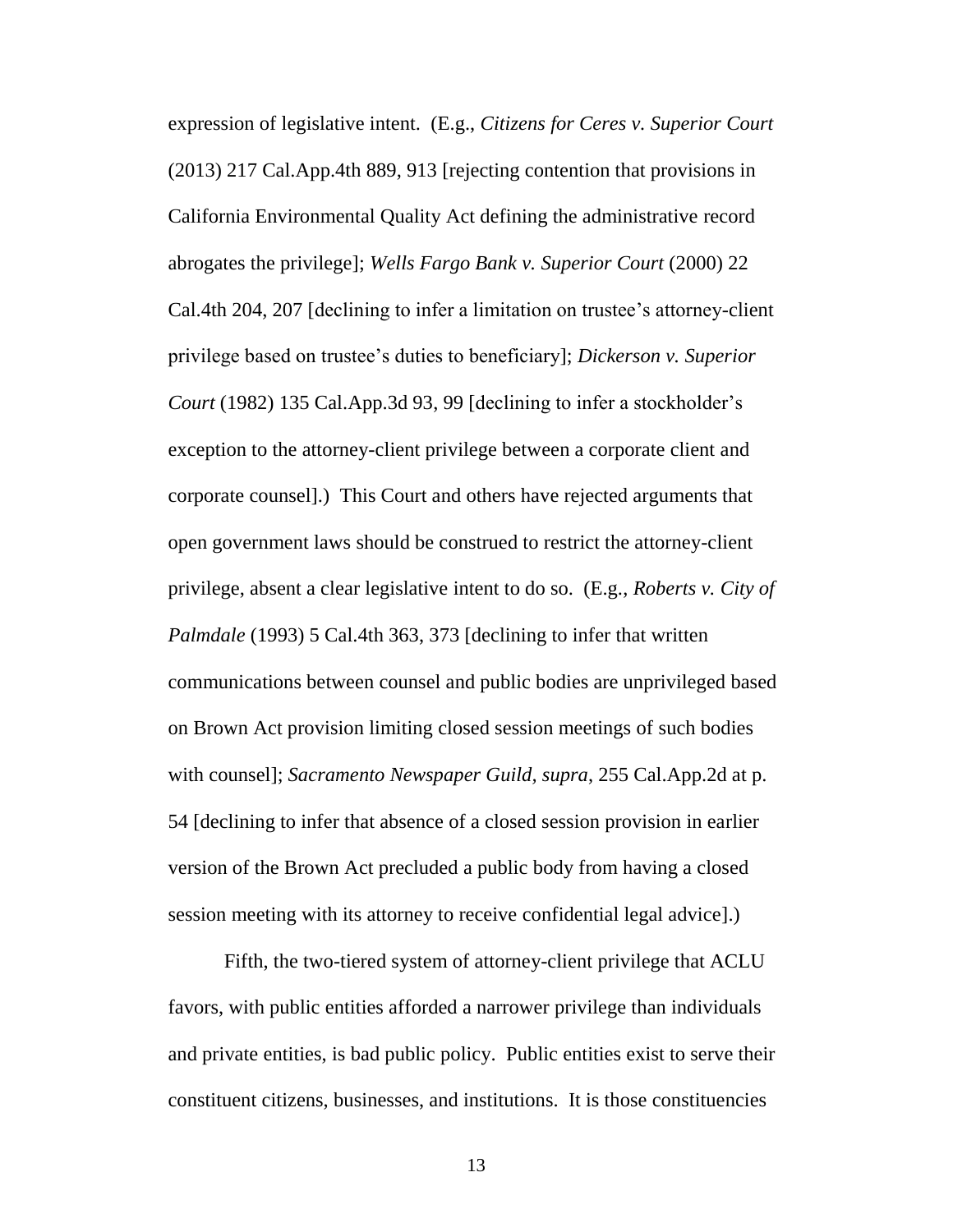expression of legislative intent. (E.g., *Citizens for Ceres v. Superior Court* (2013) 217 Cal.App.4th 889, 913 [rejecting contention that provisions in California Environmental Quality Act defining the administrative record abrogates the privilege]; *Wells Fargo Bank v. Superior Court* (2000) 22 Cal.4th 204, 207 [declining to infer a limitation on trustee's attorney-client privilege based on trustee's duties to beneficiary]; *Dickerson v. Superior Court* (1982) 135 Cal.App.3d 93, 99 [declining to infer a stockholder's exception to the attorney-client privilege between a corporate client and corporate counsel].) This Court and others have rejected arguments that open government laws should be construed to restrict the attorney-client privilege, absent a clear legislative intent to do so. (E.g., *Roberts v. City of Palmdale* (1993) 5 Cal.4th 363, 373 [declining to infer that written communications between counsel and public bodies are unprivileged based on Brown Act provision limiting closed session meetings of such bodies with counsel]; *Sacramento Newspaper Guild, supra*, 255 Cal.App.2d at p. 54 [declining to infer that absence of a closed session provision in earlier version of the Brown Act precluded a public body from having a closed session meeting with its attorney to receive confidential legal advice].)

Fifth, the two-tiered system of attorney-client privilege that ACLU favors, with public entities afforded a narrower privilege than individuals and private entities, is bad public policy. Public entities exist to serve their constituent citizens, businesses, and institutions. It is those constituencies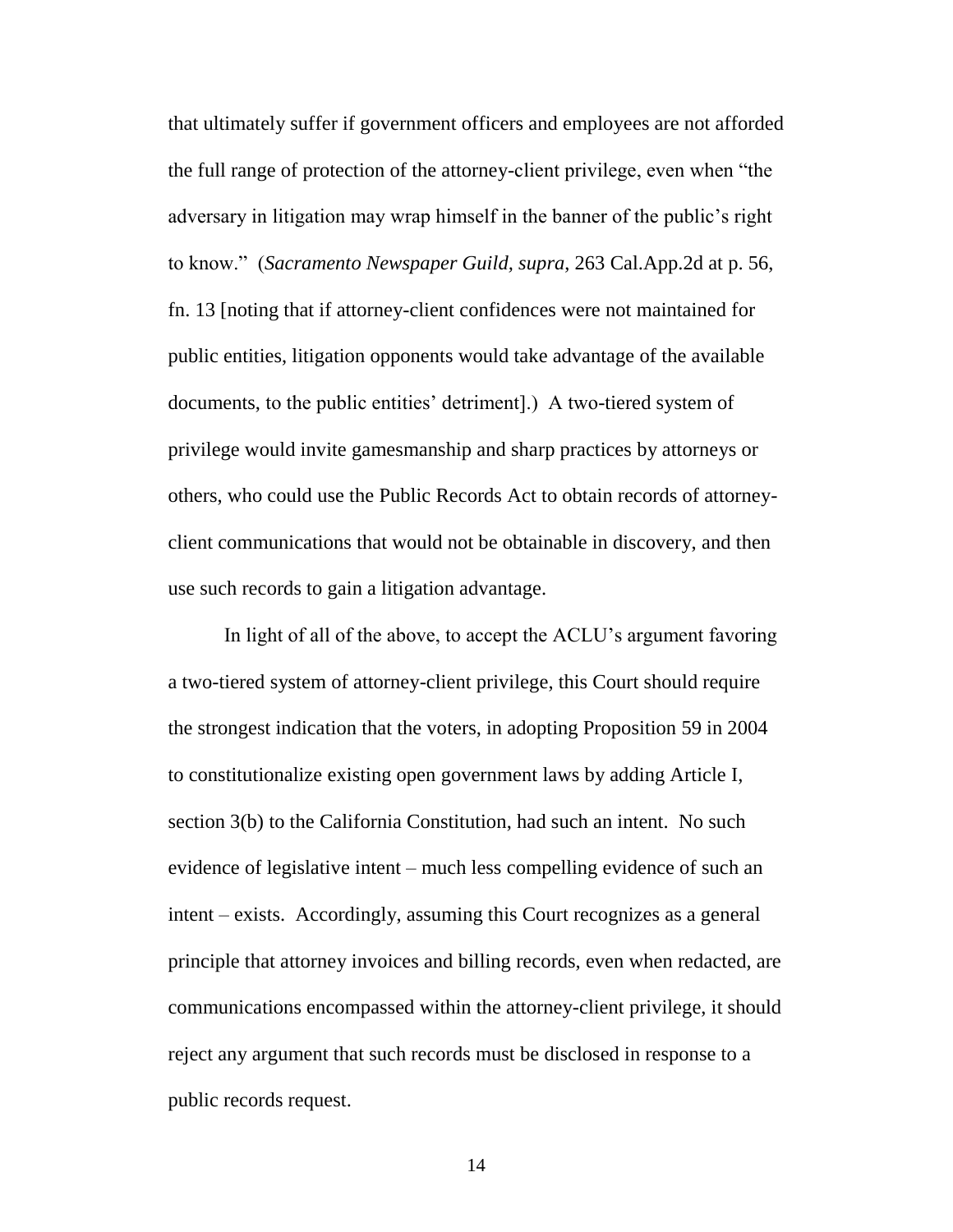that ultimately suffer if government officers and employees are not afforded the full range of protection of the attorney-client privilege, even when "the adversary in litigation may wrap himself in the banner of the public's right to know." (*Sacramento Newspaper Guild, supra*, 263 Cal.App.2d at p. 56, fn. 13 [noting that if attorney-client confidences were not maintained for public entities, litigation opponents would take advantage of the available documents, to the public entities' detriment].) A two-tiered system of privilege would invite gamesmanship and sharp practices by attorneys or others, who could use the Public Records Act to obtain records of attorneyclient communications that would not be obtainable in discovery, and then use such records to gain a litigation advantage.

In light of all of the above, to accept the ACLU's argument favoring a two-tiered system of attorney-client privilege, this Court should require the strongest indication that the voters, in adopting Proposition 59 in 2004 to constitutionalize existing open government laws by adding Article I, section 3(b) to the California Constitution, had such an intent. No such evidence of legislative intent – much less compelling evidence of such an intent – exists. Accordingly, assuming this Court recognizes as a general principle that attorney invoices and billing records, even when redacted, are communications encompassed within the attorney-client privilege, it should reject any argument that such records must be disclosed in response to a public records request.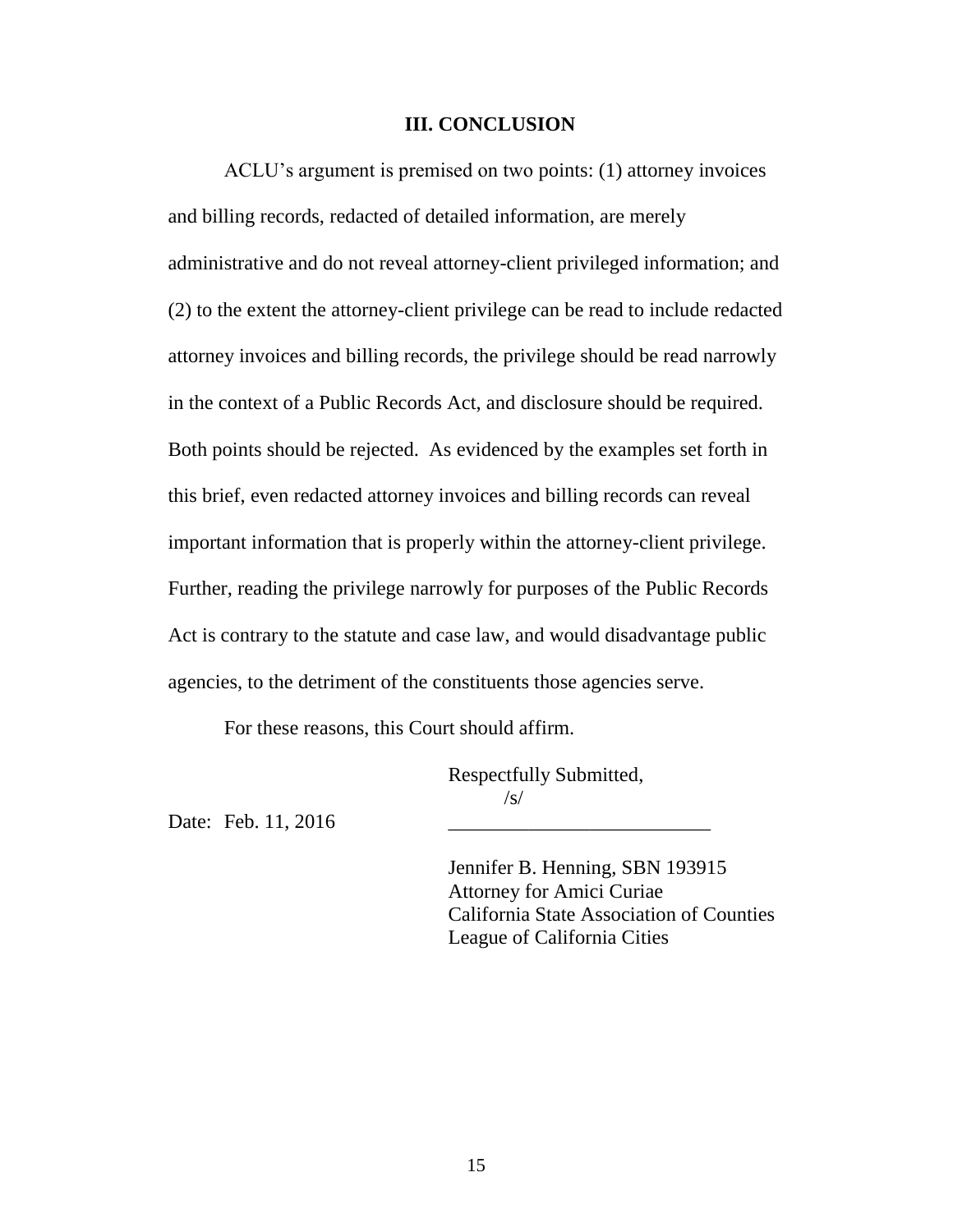#### <span id="page-21-0"></span>**III. CONCLUSION**

ACLU's argument is premised on two points: (1) attorney invoices and billing records, redacted of detailed information, are merely administrative and do not reveal attorney-client privileged information; and (2) to the extent the attorney-client privilege can be read to include redacted attorney invoices and billing records, the privilege should be read narrowly in the context of a Public Records Act, and disclosure should be required. Both points should be rejected. As evidenced by the examples set forth in this brief, even redacted attorney invoices and billing records can reveal important information that is properly within the attorney-client privilege. Further, reading the privilege narrowly for purposes of the Public Records Act is contrary to the statute and case law, and would disadvantage public agencies, to the detriment of the constituents those agencies serve.

For these reasons, this Court should affirm.

Respectfully Submitted, /s/

Date: Feb. 11, 2016

Jennifer B. Henning, SBN 193915 Attorney for Amici Curiae California State Association of Counties League of California Cities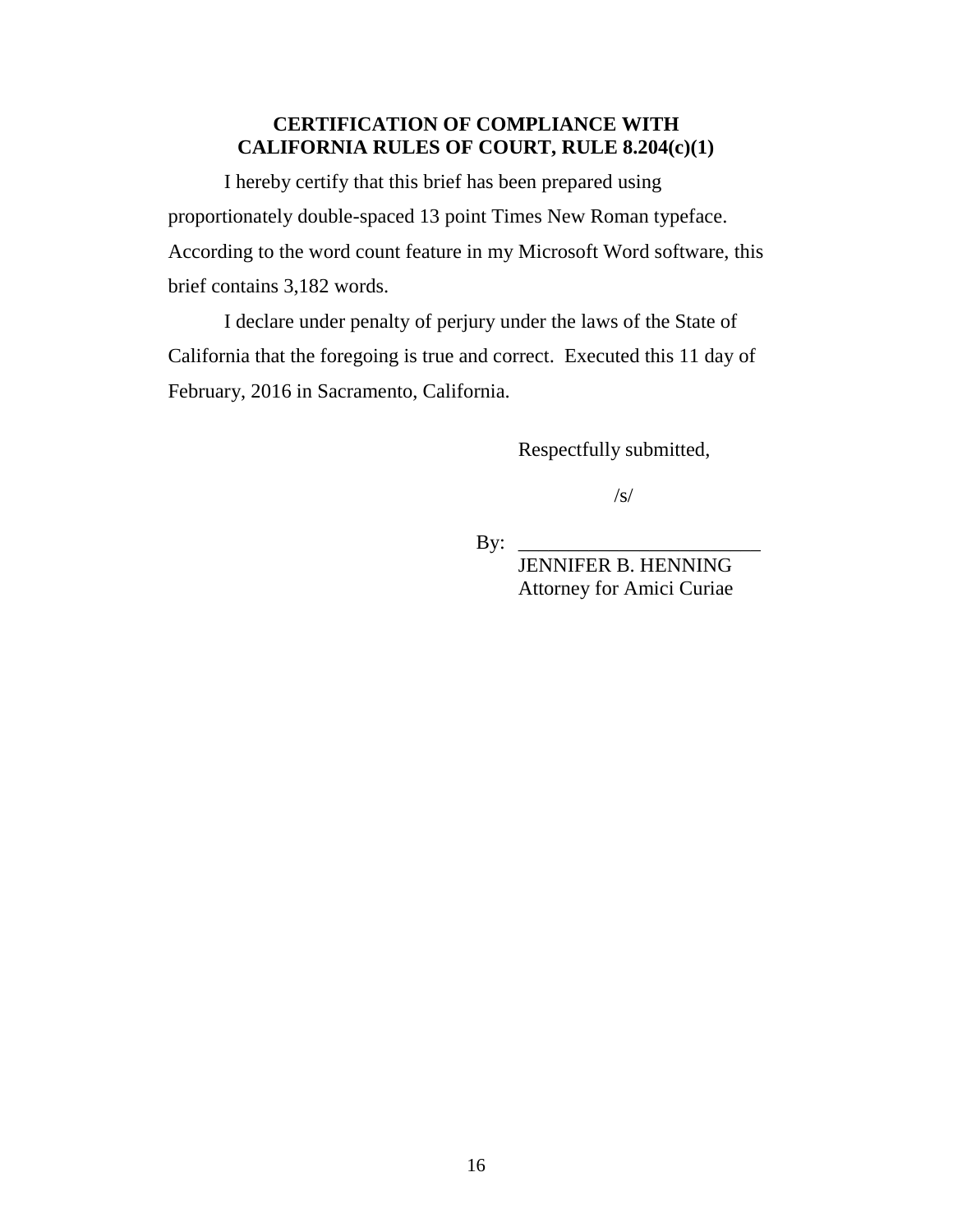# **CERTIFICATION OF COMPLIANCE WITH CALIFORNIA RULES OF COURT, RULE 8.204(c)(1)**

I hereby certify that this brief has been prepared using proportionately double-spaced 13 point Times New Roman typeface. According to the word count feature in my Microsoft Word software, this brief contains 3,182 words.

I declare under penalty of perjury under the laws of the State of California that the foregoing is true and correct. Executed this 11 day of February, 2016 in Sacramento, California.

<span id="page-22-0"></span>Respectfully submitted,

 $\sqrt{s}$ 

 $\mathbf{By:}$ 

 JENNIFER B. HENNING Attorney for Amici Curiae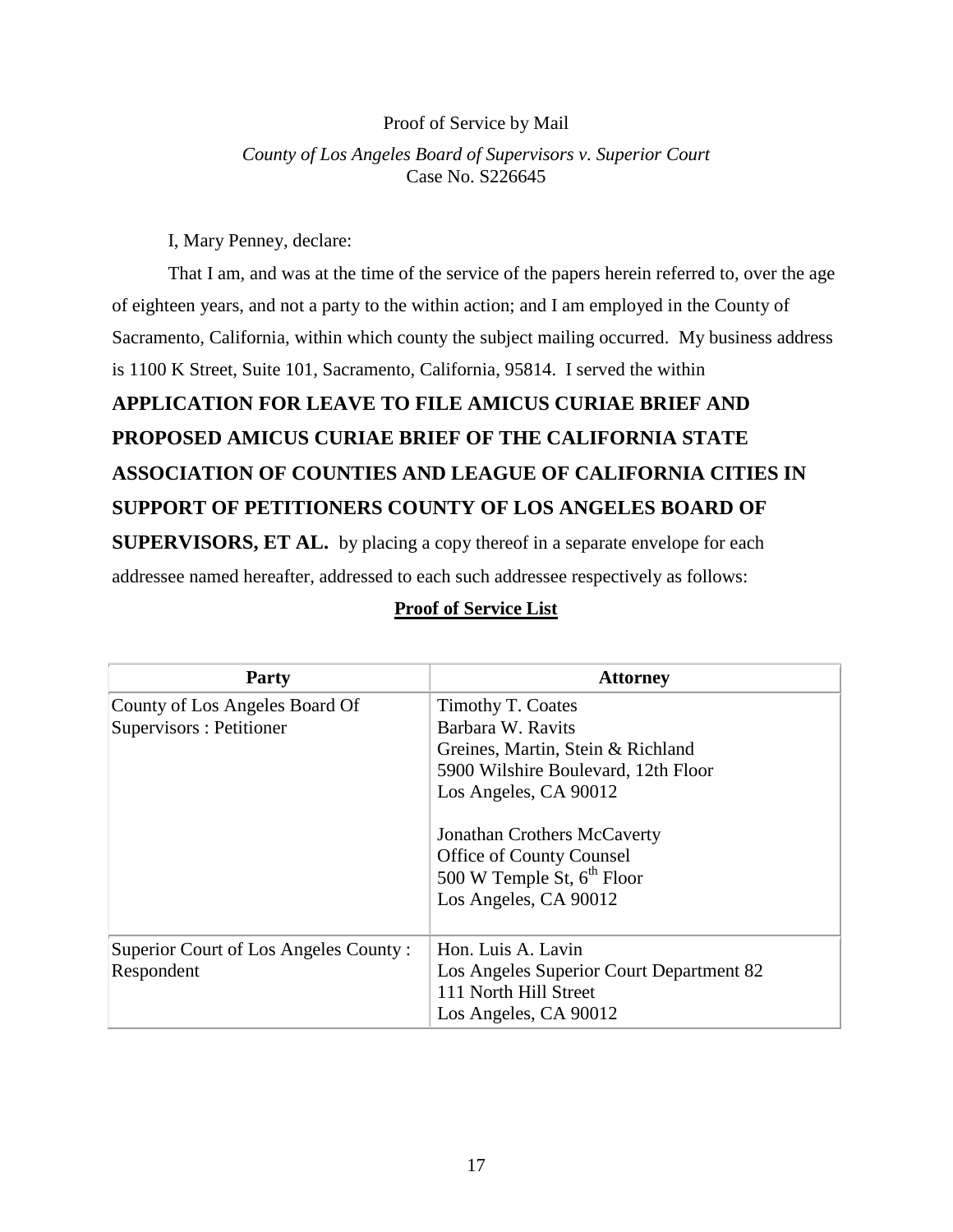### Proof of Service by Mail

*County of Los Angeles Board of Supervisors v. Superior Court* Case No. S226645

I, Mary Penney, declare:

That I am, and was at the time of the service of the papers herein referred to, over the age of eighteen years, and not a party to the within action; and I am employed in the County of Sacramento, California, within which county the subject mailing occurred. My business address is 1100 K Street, Suite 101, Sacramento, California, 95814. I served the within

# **APPLICATION FOR LEAVE TO FILE AMICUS CURIAE BRIEF AND PROPOSED AMICUS CURIAE BRIEF OF THE CALIFORNIA STATE ASSOCIATION OF COUNTIES AND LEAGUE OF CALIFORNIA CITIES IN SUPPORT OF PETITIONERS COUNTY OF LOS ANGELES BOARD OF SUPERVISORS, ET AL.** by placing a copy thereof in a separate envelope for each

addressee named hereafter, addressed to each such addressee respectively as follows:

| <b>Party</b>                                               | <b>Attorney</b>                                                                                                                                                                                                                                                    |
|------------------------------------------------------------|--------------------------------------------------------------------------------------------------------------------------------------------------------------------------------------------------------------------------------------------------------------------|
| County of Los Angeles Board Of<br>Supervisors : Petitioner | Timothy T. Coates<br>Barbara W. Ravits<br>Greines, Martin, Stein & Richland<br>5900 Wilshire Boulevard, 12th Floor<br>Los Angeles, CA 90012<br>Jonathan Crothers McCaverty<br>Office of County Counsel<br>500 W Temple St, $6^{th}$ Floor<br>Los Angeles, CA 90012 |
| Superior Court of Los Angeles County:<br>Respondent        | Hon. Luis A. Lavin<br>Los Angeles Superior Court Department 82<br>111 North Hill Street<br>Los Angeles, CA 90012                                                                                                                                                   |

## **Proof of Service List**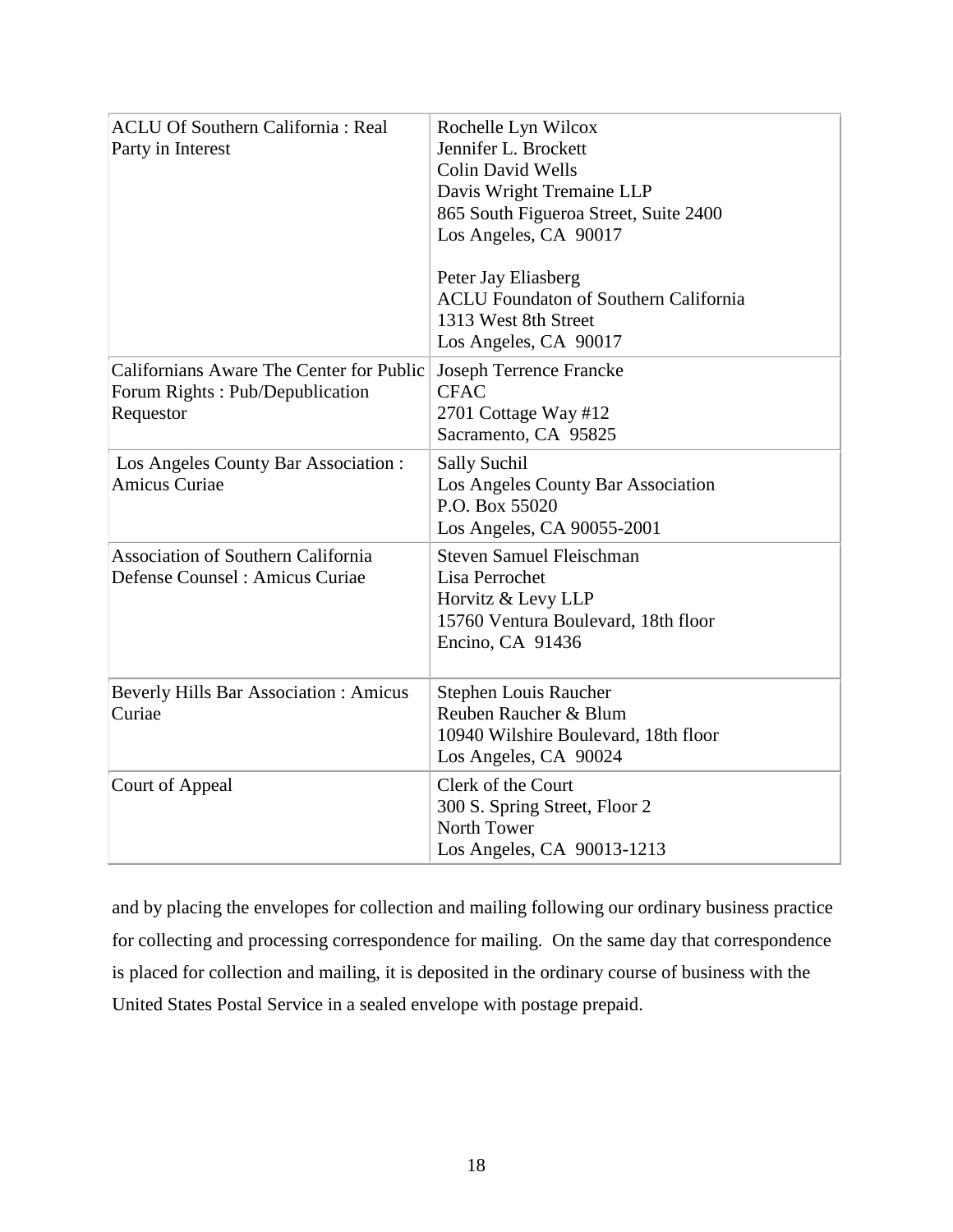| <b>ACLU Of Southern California: Real</b><br>Party in Interest                            | Rochelle Lyn Wilcox<br>Jennifer L. Brockett<br><b>Colin David Wells</b><br>Davis Wright Tremaine LLP<br>865 South Figueroa Street, Suite 2400<br>Los Angeles, CA 90017<br>Peter Jay Eliasberg<br><b>ACLU Foundaton of Southern California</b><br>1313 West 8th Street<br>Los Angeles, CA 90017 |
|------------------------------------------------------------------------------------------|------------------------------------------------------------------------------------------------------------------------------------------------------------------------------------------------------------------------------------------------------------------------------------------------|
| Californians Aware The Center for Public<br>Forum Rights: Pub/Depublication<br>Requestor | <b>Joseph Terrence Francke</b><br><b>CFAC</b><br>2701 Cottage Way #12<br>Sacramento, CA 95825                                                                                                                                                                                                  |
| Los Angeles County Bar Association :<br><b>Amicus Curiae</b>                             | <b>Sally Suchil</b><br>Los Angeles County Bar Association<br>P.O. Box 55020<br>Los Angeles, CA 90055-2001                                                                                                                                                                                      |
| <b>Association of Southern California</b><br>Defense Counsel: Amicus Curiae              | <b>Steven Samuel Fleischman</b><br>Lisa Perrochet<br>Horvitz & Levy LLP<br>15760 Ventura Boulevard, 18th floor<br>Encino, CA 91436                                                                                                                                                             |
| <b>Beverly Hills Bar Association: Amicus</b><br>Curiae                                   | Stephen Louis Raucher<br>Reuben Raucher & Blum<br>10940 Wilshire Boulevard, 18th floor<br>Los Angeles, CA 90024                                                                                                                                                                                |
| Court of Appeal                                                                          | Clerk of the Court<br>300 S. Spring Street, Floor 2<br>North Tower<br>Los Angeles, CA 90013-1213                                                                                                                                                                                               |

and by placing the envelopes for collection and mailing following our ordinary business practice for collecting and processing correspondence for mailing. On the same day that correspondence is placed for collection and mailing, it is deposited in the ordinary course of business with the United States Postal Service in a sealed envelope with postage prepaid.